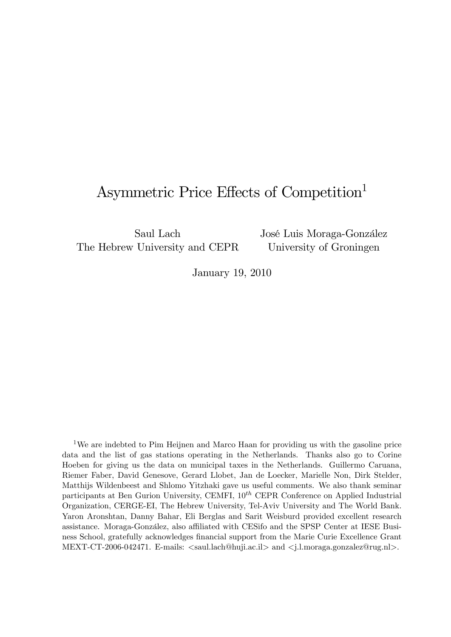# Asymmetric Price Effects of Competition<sup>1</sup>

Saul Lach The Hebrew University and CEPR José Luis Moraga-González University of Groningen

January 19, 2010

<sup>1</sup>We are indebted to Pim Heijnen and Marco Haan for providing us with the gasoline price data and the list of gas stations operating in the Netherlands. Thanks also go to Corine Hoeben for giving us the data on municipal taxes in the Netherlands. Guillermo Caruana, Riemer Faber, David Genesove, Gerard Llobet, Jan de Loecker, Marielle Non, Dirk Stelder, Matthijs Wildenbeest and Shlomo Yitzhaki gave us useful comments. We also thank seminar participants at Ben Gurion University, CEMFI,  $10^{th}$  CEPR Conference on Applied Industrial Organization, CERGE-EI, The Hebrew University, Tel-Aviv University and The World Bank. Yaron Aronshtan, Danny Bahar, Eli Berglas and Sarit Weisburd provided excellent research assistance. Moraga-González, also affiliated with CESifo and the SPSP Center at IESE Business School, gratefully acknowledges financial support from the Marie Curie Excellence Grant MEXT-CT-2006-042471. E-mails: <saul.lach@huji.ac.il> and <j.l.moraga.gonzalez@rug.nl>.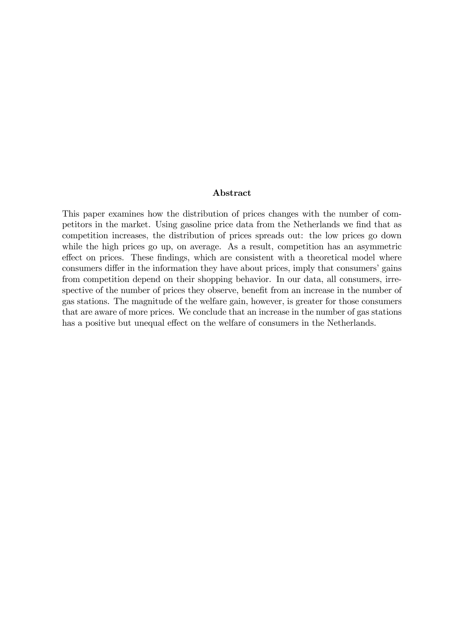#### Abstract

This paper examines how the distribution of prices changes with the number of competitors in the market. Using gasoline price data from the Netherlands we find that as competition increases, the distribution of prices spreads out: the low prices go down while the high prices go up, on average. As a result, competition has an asymmetric effect on prices. These findings, which are consistent with a theoretical model where consumers differ in the information they have about prices, imply that consumers' gains from competition depend on their shopping behavior. In our data, all consumers, irrespective of the number of prices they observe, benefit from an increase in the number of gas stations. The magnitude of the welfare gain, however, is greater for those consumers that are aware of more prices. We conclude that an increase in the number of gas stations has a positive but unequal effect on the welfare of consumers in the Netherlands.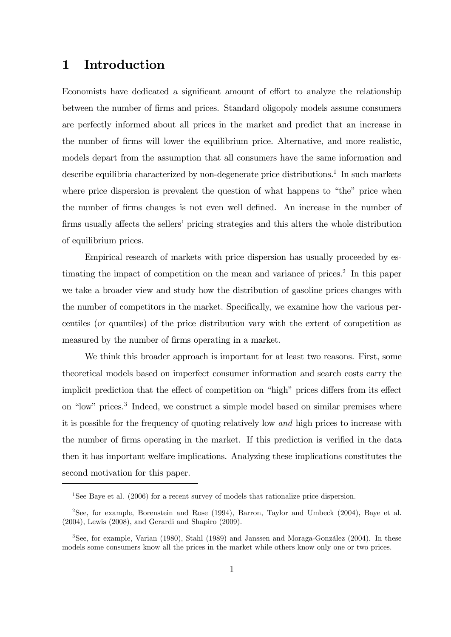## 1 Introduction

Economists have dedicated a significant amount of effort to analyze the relationship between the number of Örms and prices. Standard oligopoly models assume consumers are perfectly informed about all prices in the market and predict that an increase in the number of Örms will lower the equilibrium price. Alternative, and more realistic, models depart from the assumption that all consumers have the same information and describe equilibria characterized by non-degenerate price distributions.<sup>1</sup> In such markets where price dispersion is prevalent the question of what happens to "the" price when the number of Örms changes is not even well deÖned. An increase in the number of firms usually affects the sellers' pricing strategies and this alters the whole distribution of equilibrium prices.

Empirical research of markets with price dispersion has usually proceeded by estimating the impact of competition on the mean and variance of prices.<sup>2</sup> In this paper we take a broader view and study how the distribution of gasoline prices changes with the number of competitors in the market. Specifically, we examine how the various percentiles (or quantiles) of the price distribution vary with the extent of competition as measured by the number of firms operating in a market.

We think this broader approach is important for at least two reasons. First, some theoretical models based on imperfect consumer information and search costs carry the implicit prediction that the effect of competition on "high" prices differs from its effect on "low" prices.<sup>3</sup> Indeed, we construct a simple model based on similar premises where it is possible for the frequency of quoting relatively low and high prices to increase with the number of firms operating in the market. If this prediction is verified in the data then it has important welfare implications. Analyzing these implications constitutes the second motivation for this paper.

<sup>1</sup>See Baye et al. (2006) for a recent survey of models that rationalize price dispersion.

<sup>&</sup>lt;sup>2</sup>See, for example, Borenstein and Rose  $(1994)$ , Barron, Taylor and Umbeck  $(2004)$ , Baye et al. (2004), Lewis (2008), and Gerardi and Shapiro (2009).

 $3$ See, for example, Varian (1980), Stahl (1989) and Janssen and Moraga-González (2004). In these models some consumers know all the prices in the market while others know only one or two prices.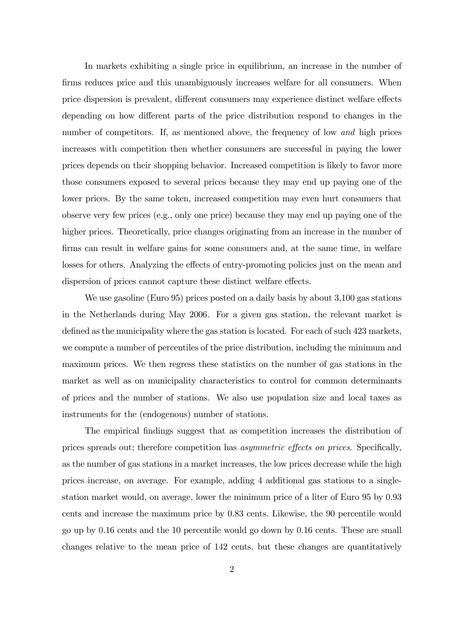In markets exhibiting a single price in equilibrium, an increase in the number of firms reduces price and this unambiguously increases welfare for all consumers. When price dispersion is prevalent, different consumers may experience distinct welfare effects depending on how different parts of the price distribution respond to changes in the number of competitors. If, as mentioned above, the frequency of low and high prices increases with competition then whether consumers are successful in paying the lower prices depends on their shopping behavior. Increased competition is likely to favor more those consumers exposed to several prices because they may end up paying one of the lower prices. By the same token, increased competition may even hurt consumers that observe very few prices (e.g., only one price) because they may end up paying one of the higher prices. Theoretically, price changes originating from an increase in the number of firms can result in welfare gains for some consumers and, at the same time, in welfare losses for others. Analyzing the effects of entry-promoting policies just on the mean and dispersion of prices cannot capture these distinct welfare effects.

We use gasoline (Euro 95) prices posted on a daily basis by about 3,100 gas stations in the Netherlands during May 2006. For a given gas station, the relevant market is defined as the municipality where the gas station is located. For each of such 423 markets, we compute a number of percentiles of the price distribution, including the minimum and maximum prices. We then regress these statistics on the number of gas stations in the market as well as on municipality characteristics to control for common determinants of prices and the number of stations. We also use population size and local taxes as instruments for the (endogenous) number of stations.

The empirical Öndings suggest that as competition increases the distribution of prices spreads out; therefore competition has *asymmetric effects on prices*. Specifically, as the number of gas stations in a market increases, the low prices decrease while the high prices increase, on average. For example, adding 4 additional gas stations to a singlestation market would, on average, lower the minimum price of a liter of Euro 95 by 0.93 cents and increase the maximum price by 0.83 cents. Likewise, the 90 percentile would go up by 0.16 cents and the 10 percentile would go down by 0.16 cents. These are small changes relative to the mean price of 142 cents, but these changes are quantitatively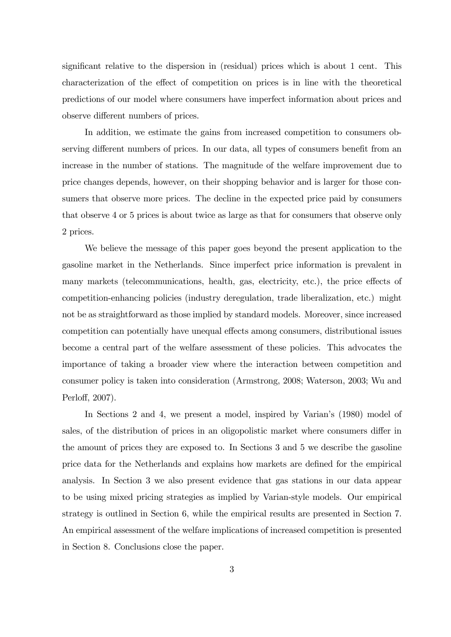significant relative to the dispersion in (residual) prices which is about 1 cent. This characterization of the effect of competition on prices is in line with the theoretical predictions of our model where consumers have imperfect information about prices and observe different numbers of prices.

In addition, we estimate the gains from increased competition to consumers observing different numbers of prices. In our data, all types of consumers benefit from an increase in the number of stations. The magnitude of the welfare improvement due to price changes depends, however, on their shopping behavior and is larger for those consumers that observe more prices. The decline in the expected price paid by consumers that observe 4 or 5 prices is about twice as large as that for consumers that observe only 2 prices.

We believe the message of this paper goes beyond the present application to the gasoline market in the Netherlands. Since imperfect price information is prevalent in many markets (telecommunications, health, gas, electricity, etc.), the price effects of competition-enhancing policies (industry deregulation, trade liberalization, etc.) might not be as straightforward as those implied by standard models. Moreover, since increased competition can potentially have unequal effects among consumers, distributional issues become a central part of the welfare assessment of these policies. This advocates the importance of taking a broader view where the interaction between competition and consumer policy is taken into consideration (Armstrong, 2008; Waterson, 2003; Wu and Perloff, 2007).

In Sections 2 and 4, we present a model, inspired by Varian's (1980) model of sales, of the distribution of prices in an oligopolistic market where consumers differ in the amount of prices they are exposed to. In Sections 3 and 5 we describe the gasoline price data for the Netherlands and explains how markets are defined for the empirical analysis. In Section 3 we also present evidence that gas stations in our data appear to be using mixed pricing strategies as implied by Varian-style models. Our empirical strategy is outlined in Section 6, while the empirical results are presented in Section 7. An empirical assessment of the welfare implications of increased competition is presented in Section 8. Conclusions close the paper.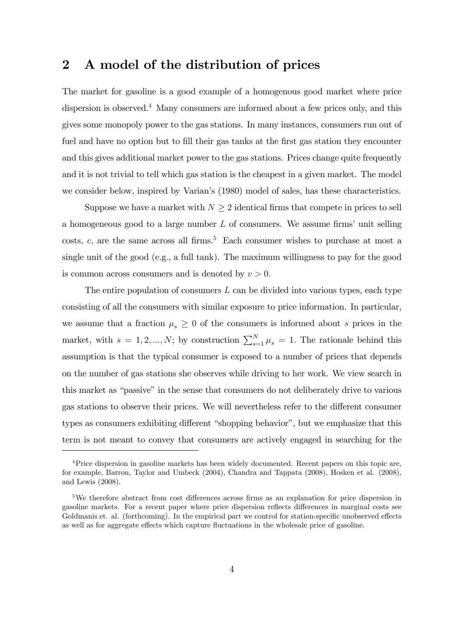### 2 A model of the distribution of prices

The market for gasoline is a good example of a homogenous good market where price dispersion is observed.<sup>4</sup> Many consumers are informed about a few prices only, and this gives some monopoly power to the gas stations. In many instances, consumers run out of fuel and have no option but to fill their gas tanks at the first gas station they encounter and this gives additional market power to the gas stations. Prices change quite frequently and it is not trivial to tell which gas station is the cheapest in a given market. The model we consider below, inspired by Varian's (1980) model of sales, has these characteristics.

Suppose we have a market with  $N \geq 2$  identical firms that compete in prices to sell a homogeneous good to a large number  $L$  of consumers. We assume firms' unit selling costs, c, are the same across all firms.<sup>5</sup> Each consumer wishes to purchase at most a single unit of the good (e.g., a full tank). The maximum willingness to pay for the good is common across consumers and is denoted by  $v > 0$ .

The entire population of consumers  $L$  can be divided into various types, each type consisting of all the consumers with similar exposure to price information. In particular, we assume that a fraction  $\mu_s \geq 0$  of the consumers is informed about s prices in the market, with  $s = 1, 2, ..., N$ ; by construction  $\sum_{s=1}^{N} \mu_s = 1$ . The rationale behind this assumption is that the typical consumer is exposed to a number of prices that depends on the number of gas stations she observes while driving to her work. We view search in this market as "passive" in the sense that consumers do not deliberately drive to various gas stations to observe their prices. We will nevertheless refer to the different consumer types as consumers exhibiting different "shopping behavior", but we emphasize that this term is not meant to convey that consumers are actively engaged in searching for the

<sup>4</sup>Price dispersion in gasoline markets has been widely documented. Recent papers on this topic are, for example, Barron, Taylor and Umbeck (2004), Chandra and Tappata (2008), Hosken et al. (2008), and Lewis (2008).

 $5$ We therefore abstract from cost differences across firms as an explanation for price dispersion in gasoline markets. For a recent paper where price dispersion reflects differences in marginal costs see Goldmanis et. al. (forthcoming). In the empirical part we control for station-specific unobserved effects as well as for aggregate effects which capture fluctuations in the wholesale price of gasoline.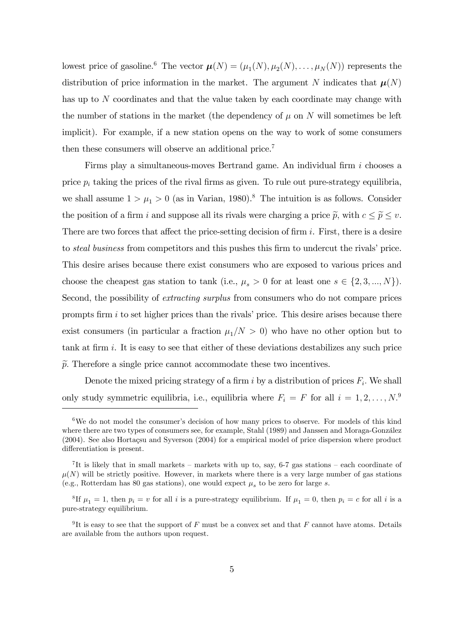lowest price of gasoline.<sup>6</sup> The vector  $\boldsymbol{\mu}(N) = (\mu_1(N), \mu_2(N), \dots, \mu_N(N))$  represents the distribution of price information in the market. The argument N indicates that  $\mu(N)$ has up to N coordinates and that the value taken by each coordinate may change with the number of stations in the market (the dependency of  $\mu$  on N will sometimes be left implicit). For example, if a new station opens on the way to work of some consumers then these consumers will observe an additional price.<sup>7</sup>

Firms play a simultaneous-moves Bertrand game. An individual firm  $i$  chooses a price  $p_i$  taking the prices of the rival firms as given. To rule out pure-strategy equilibria, we shall assume  $1 > \mu_1 > 0$  (as in Varian, 1980).<sup>8</sup> The intuition is as follows. Consider the position of a firm i and suppose all its rivals were charging a price  $\tilde{p}$ , with  $c \leq \tilde{p} \leq v$ . There are two forces that affect the price-setting decision of firm  $i$ . First, there is a desire to *steal business* from competitors and this pushes this firm to undercut the rivals' price. This desire arises because there exist consumers who are exposed to various prices and choose the cheapest gas station to tank (i.e.,  $\mu_s > 0$  for at least one  $s \in \{2, 3, ..., N\}$ ). Second, the possibility of extracting surplus from consumers who do not compare prices prompts firm  $i$  to set higher prices than the rivals' price. This desire arises because there exist consumers (in particular a fraction  $\mu_1/N > 0$ ) who have no other option but to tank at firm  $i$ . It is easy to see that either of these deviations destabilizes any such price  $\tilde{p}$ . Therefore a single price cannot accommodate these two incentives.

Denote the mixed pricing strategy of a firm i by a distribution of prices  $F_i$ . We shall only study symmetric equilibria, i.e., equilibria where  $F_i = F$  for all  $i = 1, 2, ..., N$ .<sup>9</sup>

 $6$ We do not model the consumer's decision of how many prices to observe. For models of this kind where there are two types of consumers see, for example, Stahl (1989) and Janssen and Moraga-González  $(2004)$ . See also Hortacsu and Syverson  $(2004)$  for a empirical model of price dispersion where product differentiation is present.

<sup>&</sup>lt;sup>7</sup>It is likely that in small markets – markets with up to, say, 6-7 gas stations – each coordinate of  $\mu(N)$  will be strictly positive. However, in markets where there is a very large number of gas stations (e.g., Rotterdam has 80 gas stations), one would expect  $\mu_s$  to be zero for large s.

<sup>&</sup>lt;sup>8</sup>If  $\mu_1 = 1$ , then  $p_i = v$  for all i is a pure-strategy equilibrium. If  $\mu_1 = 0$ , then  $p_i = c$  for all i is a pure-strategy equilibrium.

<sup>&</sup>lt;sup>9</sup>It is easy to see that the support of F must be a convex set and that F cannot have atoms. Details are available from the authors upon request.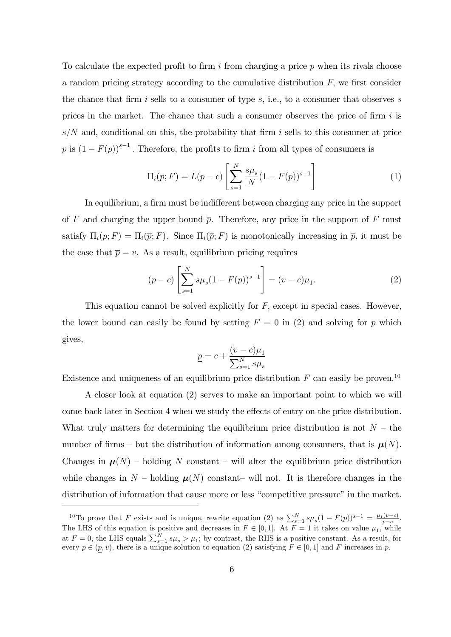To calculate the expected profit to firm  $i$  from charging a price  $p$  when its rivals choose a random pricing strategy according to the cumulative distribution  $F$ , we first consider the chance that firm i sells to a consumer of type  $s$ , i.e., to a consumer that observes s prices in the market. The chance that such a consumer observes the price of firm  $i$  is  $s/N$  and, conditional on this, the probability that firm i sells to this consumer at price  $p$  is  $(1 - F(p))^{s-1}$ . Therefore, the profits to firm i from all types of consumers is

$$
\Pi_i(p;F) = L(p-c) \left[ \sum_{s=1}^N \frac{s \mu_s}{N} (1 - F(p))^{s-1} \right]
$$
 (1)

In equilibrium, a firm must be indifferent between charging any price in the support of F and charging the upper bound  $\bar{p}$ . Therefore, any price in the support of F must satisfy  $\Pi_i(p; F) = \Pi_i(\overline{p}; F)$ . Since  $\Pi_i(\overline{p}; F)$  is monotonically increasing in  $\overline{p}$ , it must be the case that  $\bar{p} = v$ . As a result, equilibrium pricing requires

$$
(p-c)\left[\sum_{s=1}^{N} s\mu_s (1 - F(p))^{s-1}\right] = (v-c)\mu_1.
$$
 (2)

This equation cannot be solved explicitly for  $F$ , except in special cases. However, the lower bound can easily be found by setting  $F = 0$  in (2) and solving for p which gives,

$$
\underline{p} = c + \frac{(v - c)\mu_1}{\sum_{s=1}^N s\mu_s}
$$

Existence and uniqueness of an equilibrium price distribution  $F$  can easily be proven.<sup>10</sup>

A closer look at equation (2) serves to make an important point to which we will come back later in Section 4 when we study the effects of entry on the price distribution. What truly matters for determining the equilibrium price distribution is not  $N -$  the number of firms – but the distribution of information among consumers, that is  $\mu(N)$ . Changes in  $\mu(N)$  – holding N constant – will alter the equilibrium price distribution while changes in N – holding  $\mu(N)$  constant– will not. It is therefore changes in the distribution of information that cause more or less "competitive pressure" in the market.

<sup>&</sup>lt;sup>10</sup>To prove that F exists and is unique, rewrite equation (2) as  $\sum_{s=1}^{N} s\mu_s (1 - F(p))^{s-1} = \frac{\mu_1(v-c)}{p-c}$  $\frac{(v-c)}{p-c}.$ The LHS of this equation is positive and decreases in  $F \in [0, 1]$ . At  $F = 1$  it takes on value  $\mu_1$ , while at  $F = 0$ , the LHS equals  $\sum_{s=1}^{N} s\mu_s > \mu_1$ ; by contrast, the RHS is a positive constant. As a result, for every  $p \in (p, v)$ , there is a unique solution to equation (2) satisfying  $F \in [0, 1]$  and F increases in p.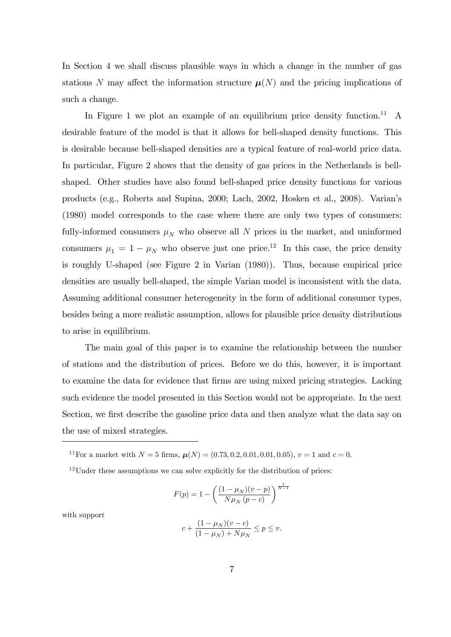In Section 4 we shall discuss plausible ways in which a change in the number of gas stations N may affect the information structure  $\mu(N)$  and the pricing implications of such a change.

In Figure 1 we plot an example of an equilibrium price density function.<sup>11</sup> A desirable feature of the model is that it allows for bell-shaped density functions. This is desirable because bell-shaped densities are a typical feature of real-world price data. In particular, Figure 2 shows that the density of gas prices in the Netherlands is bellshaped. Other studies have also found bell-shaped price density functions for various products (e.g., Roberts and Supina, 2000; Lach, 2002, Hosken et al., 2008). Varianís (1980) model corresponds to the case where there are only two types of consumers: fully-informed consumers  $\mu_N$  who observe all N prices in the market, and uninformed consumers  $\mu_1 = 1 - \mu_N$  who observe just one price.<sup>12</sup> In this case, the price density is roughly U-shaped (see Figure 2 in Varian (1980)). Thus, because empirical price densities are usually bell-shaped, the simple Varian model is inconsistent with the data. Assuming additional consumer heterogeneity in the form of additional consumer types, besides being a more realistic assumption, allows for plausible price density distributions to arise in equilibrium.

The main goal of this paper is to examine the relationship between the number of stations and the distribution of prices. Before we do this, however, it is important to examine the data for evidence that firms are using mixed pricing strategies. Lacking such evidence the model presented in this Section would not be appropriate. In the next Section, we first describe the gasoline price data and then analyze what the data say on the use of mixed strategies.

<sup>11</sup>For a market with  $N = 5$  firms,  $\mu(N) = (0.73, 0.2, 0.01, 0.01, 0.05), v = 1$  and  $c = 0$ .

$$
F(p) = 1 - \left(\frac{(1 - \mu_N)(v - p)}{N\mu_N(p - c)}\right)^{\frac{1}{N - 1}}
$$

with support

$$
c+\frac{(1-\mu_N)(v-c)}{(1-\mu_N)+N\mu_N}\leq p\leq v.
$$

 $12$ Under these assumptions we can solve explicitly for the distribution of prices: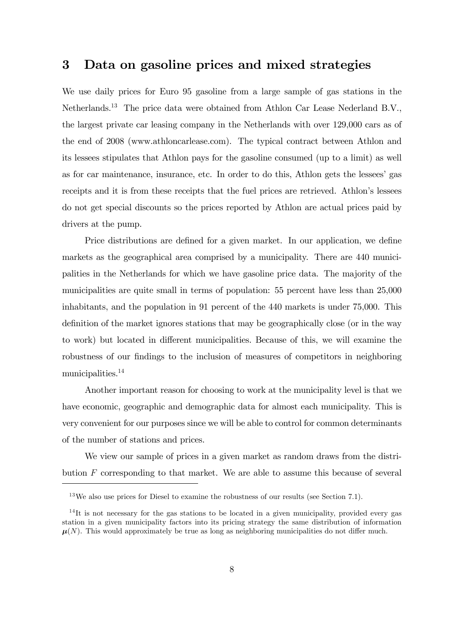### 3 Data on gasoline prices and mixed strategies

We use daily prices for Euro 95 gasoline from a large sample of gas stations in the Netherlands.<sup>13</sup> The price data were obtained from Athlon Car Lease Nederland B.V., the largest private car leasing company in the Netherlands with over 129,000 cars as of the end of 2008 (www.athloncarlease.com). The typical contract between Athlon and its lessees stipulates that Athlon pays for the gasoline consumed (up to a limit) as well as for car maintenance, insurance, etc. In order to do this, Athlon gets the lessees' gas receipts and it is from these receipts that the fuel prices are retrieved. Athlon's lessees do not get special discounts so the prices reported by Athlon are actual prices paid by drivers at the pump.

Price distributions are defined for a given market. In our application, we define markets as the geographical area comprised by a municipality. There are 440 municipalities in the Netherlands for which we have gasoline price data. The majority of the municipalities are quite small in terms of population: 55 percent have less than 25,000 inhabitants, and the population in 91 percent of the 440 markets is under 75,000. This definition of the market ignores stations that may be geographically close (or in the way to work) but located in different municipalities. Because of this, we will examine the robustness of our findings to the inclusion of measures of competitors in neighboring municipalities.<sup>14</sup>

Another important reason for choosing to work at the municipality level is that we have economic, geographic and demographic data for almost each municipality. This is very convenient for our purposes since we will be able to control for common determinants of the number of stations and prices.

We view our sample of prices in a given market as random draws from the distribution F corresponding to that market. We are able to assume this because of several

 $13\,\text{We}$  also use prices for Diesel to examine the robustness of our results (see Section 7.1).

<sup>&</sup>lt;sup>14</sup>It is not necessary for the gas stations to be located in a given municipality, provided every gas station in a given municipality factors into its pricing strategy the same distribution of information  $\mu(N)$ . This would approximately be true as long as neighboring municipalities do not differ much.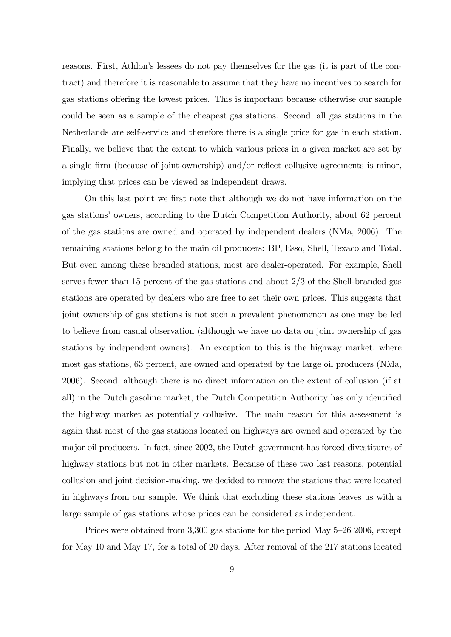reasons. First, Athlon's lessees do not pay themselves for the gas (it is part of the contract) and therefore it is reasonable to assume that they have no incentives to search for gas stations offering the lowest prices. This is important because otherwise our sample could be seen as a sample of the cheapest gas stations. Second, all gas stations in the Netherlands are self-service and therefore there is a single price for gas in each station. Finally, we believe that the extent to which various prices in a given market are set by a single firm (because of joint-ownership) and/or reflect collusive agreements is minor, implying that prices can be viewed as independent draws.

On this last point we first note that although we do not have information on the gas stations' owners, according to the Dutch Competition Authority, about 62 percent of the gas stations are owned and operated by independent dealers (NMa, 2006). The remaining stations belong to the main oil producers: BP, Esso, Shell, Texaco and Total. But even among these branded stations, most are dealer-operated. For example, Shell serves fewer than 15 percent of the gas stations and about 2/3 of the Shell-branded gas stations are operated by dealers who are free to set their own prices. This suggests that joint ownership of gas stations is not such a prevalent phenomenon as one may be led to believe from casual observation (although we have no data on joint ownership of gas stations by independent owners). An exception to this is the highway market, where most gas stations, 63 percent, are owned and operated by the large oil producers (NMa, 2006). Second, although there is no direct information on the extent of collusion (if at all) in the Dutch gasoline market, the Dutch Competition Authority has only identified the highway market as potentially collusive. The main reason for this assessment is again that most of the gas stations located on highways are owned and operated by the major oil producers. In fact, since 2002, the Dutch government has forced divestitures of highway stations but not in other markets. Because of these two last reasons, potential collusion and joint decision-making, we decided to remove the stations that were located in highways from our sample. We think that excluding these stations leaves us with a large sample of gas stations whose prices can be considered as independent.

Prices were obtained from  $3,300$  gas stations for the period May 5–26 2006, except for May 10 and May 17, for a total of 20 days. After removal of the 217 stations located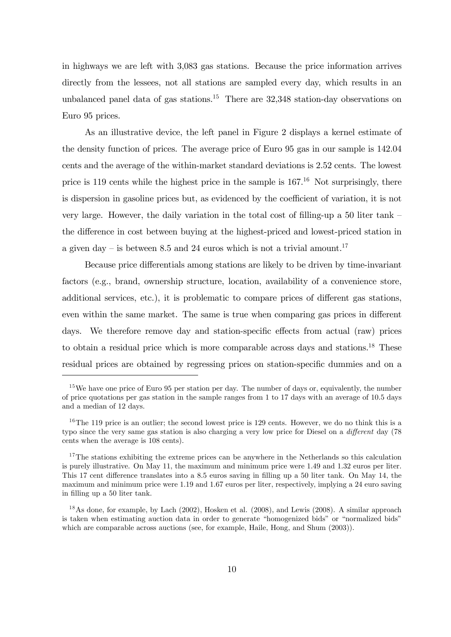in highways we are left with 3,083 gas stations. Because the price information arrives directly from the lessees, not all stations are sampled every day, which results in an unbalanced panel data of gas stations.<sup>15</sup> There are  $32,348$  station-day observations on Euro 95 prices.

As an illustrative device, the left panel in Figure 2 displays a kernel estimate of the density function of prices. The average price of Euro 95 gas in our sample is 142.04 cents and the average of the within-market standard deviations is 2.52 cents. The lowest price is 119 cents while the highest price in the sample is  $167<sup>16</sup>$  Not surprisingly, there is dispersion in gasoline prices but, as evidenced by the coefficient of variation, it is not very large. However, the daily variation in the total cost of filling-up a 50 liter tank  $$ the difference in cost between buying at the highest-priced and lowest-priced station in a given day – is between 8.5 and 24 euros which is not a trivial amount.<sup>17</sup>

Because price differentials among stations are likely to be driven by time-invariant factors (e.g., brand, ownership structure, location, availability of a convenience store, additional services, etc.), it is problematic to compare prices of different gas stations, even within the same market. The same is true when comparing gas prices in different days. We therefore remove day and station-specific effects from actual (raw) prices to obtain a residual price which is more comparable across days and stations.<sup>18</sup> These residual prices are obtained by regressing prices on station-specific dummies and on a

<sup>&</sup>lt;sup>15</sup>We have one price of Euro 95 per station per day. The number of days or, equivalently, the number of price quotations per gas station in the sample ranges from 1 to 17 days with an average of 10.5 days and a median of 12 days.

<sup>&</sup>lt;sup>16</sup>The 119 price is an outlier; the second lowest price is 129 cents. However, we do no think this is a typo since the very same gas station is also charging a very low price for Diesel on a *different* day (78) cents when the average is 108 cents).

<sup>&</sup>lt;sup>17</sup>The stations exhibiting the extreme prices can be anywhere in the Netherlands so this calculation is purely illustrative. On May 11, the maximum and minimum price were 1.49 and 1.32 euros per liter. This 17 cent difference translates into a 8.5 euros saving in filling up a 50 liter tank. On May 14, the maximum and minimum price were 1.19 and 1.67 euros per liter, respectively, implying a 24 euro saving in filling up a 50 liter tank.

<sup>&</sup>lt;sup>18</sup>As done, for example, by Lach (2002), Hosken et al. (2008), and Lewis (2008). A similar approach is taken when estimating auction data in order to generate "homogenized bids" or "normalized bids" which are comparable across auctions (see, for example, Haile, Hong, and Shum (2003)).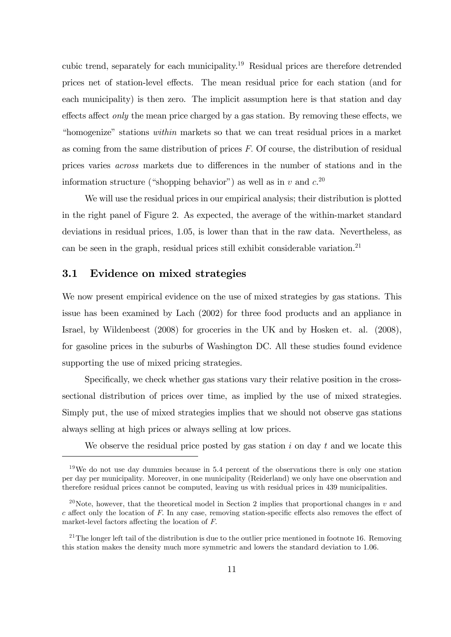cubic trend, separately for each municipality.<sup>19</sup> Residual prices are therefore detrended prices net of station-level effects. The mean residual price for each station (and for each municipality) is then zero. The implicit assumption here is that station and day effects affect *only* the mean price charged by a gas station. By removing these effects, we "homogenize" stations within markets so that we can treat residual prices in a market as coming from the same distribution of prices  $F$ . Of course, the distribution of residual prices varies *across* markets due to differences in the number of stations and in the information structure ("shopping behavior") as well as in v and  $c^{20}$ 

We will use the residual prices in our empirical analysis; their distribution is plotted in the right panel of Figure 2. As expected, the average of the within-market standard deviations in residual prices, 1.05, is lower than that in the raw data. Nevertheless, as can be seen in the graph, residual prices still exhibit considerable variation.<sup>21</sup>

#### 3.1 Evidence on mixed strategies

We now present empirical evidence on the use of mixed strategies by gas stations. This issue has been examined by Lach (2002) for three food products and an appliance in Israel, by Wildenbeest (2008) for groceries in the UK and by Hosken et. al. (2008), for gasoline prices in the suburbs of Washington DC. All these studies found evidence supporting the use of mixed pricing strategies.

Specifically, we check whether gas stations vary their relative position in the crosssectional distribution of prices over time, as implied by the use of mixed strategies. Simply put, the use of mixed strategies implies that we should not observe gas stations always selling at high prices or always selling at low prices.

We observe the residual price posted by gas station  $i$  on day  $t$  and we locate this

 $19\,\text{We}$  do not use day dummies because in 5.4 percent of the observations there is only one station per day per municipality. Moreover, in one municipality (Reiderland) we only have one observation and therefore residual prices cannot be computed, leaving us with residual prices in 439 municipalities.

<sup>&</sup>lt;sup>20</sup>Note, however, that the theoretical model in Section 2 implies that proportional changes in v and  $c$  affect only the location of F. In any case, removing station-specific effects also removes the effect of market-level factors affecting the location of  $F$ .

 $21$ The longer left tail of the distribution is due to the outlier price mentioned in footnote 16. Removing this station makes the density much more symmetric and lowers the standard deviation to 1.06.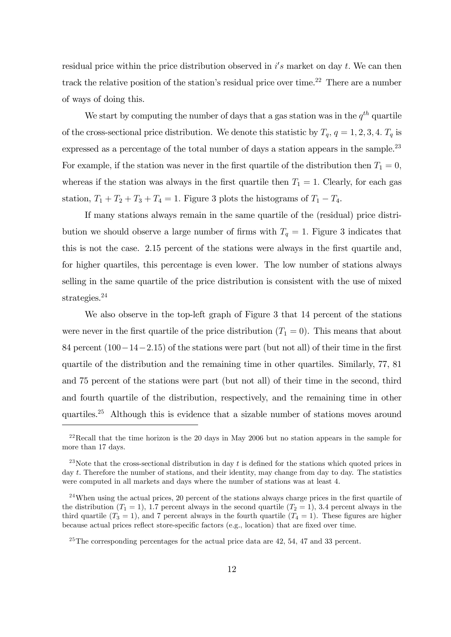residual price within the price distribution observed in  $i's$  market on day t. We can then track the relative position of the station's residual price over time.<sup>22</sup> There are a number of ways of doing this.

We start by computing the number of days that a gas station was in the  $q^{th}$  quartile of the cross-sectional price distribution. We denote this statistic by  $T_q$ ,  $q = 1, 2, 3, 4$ .  $T_q$  is expressed as a percentage of the total number of days a station appears in the sample.<sup>23</sup> For example, if the station was never in the first quartile of the distribution then  $T_1 = 0$ , whereas if the station was always in the first quartile then  $T_1 = 1$ . Clearly, for each gas station,  $T_1 + T_2 + T_3 + T_4 = 1$ . Figure 3 plots the histograms of  $T_1 - T_4$ .

If many stations always remain in the same quartile of the (residual) price distribution we should observe a large number of firms with  $T_q = 1$ . Figure 3 indicates that this is not the case. 2.15 percent of the stations were always in the first quartile and, for higher quartiles, this percentage is even lower. The low number of stations always selling in the same quartile of the price distribution is consistent with the use of mixed strategies.<sup>24</sup>

We also observe in the top-left graph of Figure 3 that 14 percent of the stations were never in the first quartile of the price distribution  $(T_1 = 0)$ . This means that about 84 percent  $(100-14-2.15)$  of the stations were part (but not all) of their time in the first quartile of the distribution and the remaining time in other quartiles. Similarly, 77, 81 and 75 percent of the stations were part (but not all) of their time in the second, third and fourth quartile of the distribution, respectively, and the remaining time in other quartiles.<sup>25</sup> Although this is evidence that a sizable number of stations moves around

 $^{22}$ Recall that the time horizon is the 20 days in May 2006 but no station appears in the sample for more than 17 days.

<sup>&</sup>lt;sup>23</sup>Note that the cross-sectional distribution in day t is defined for the stations which quoted prices in day t. Therefore the number of stations, and their identity, may change from day to day. The statistics were computed in all markets and days where the number of stations was at least 4.

 $24$ When using the actual prices, 20 percent of the stations always charge prices in the first quartile of the distribution  $(T_1 = 1)$ , 1.7 percent always in the second quartile  $(T_2 = 1)$ , 3.4 percent always in the third quartile  $(T_3 = 1)$ , and 7 percent always in the fourth quartile  $(T_4 = 1)$ . These figures are higher because actual prices reflect store-specific factors (e.g., location) that are fixed over time.

 $25$ The corresponding percentages for the actual price data are 42, 54, 47 and 33 percent.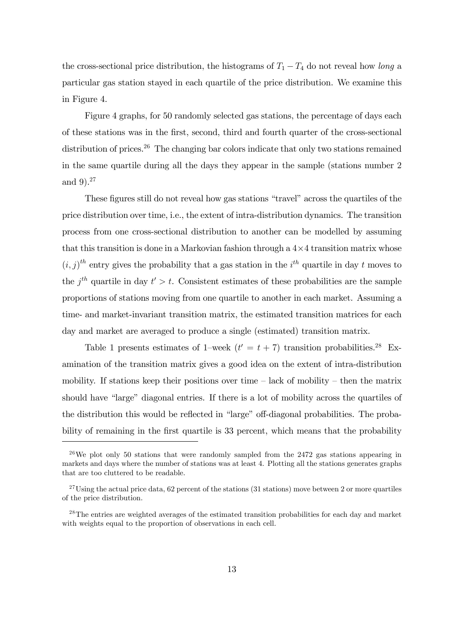the cross-sectional price distribution, the histograms of  $T_1 - T_4$  do not reveal how long a particular gas station stayed in each quartile of the price distribution. We examine this in Figure 4.

Figure 4 graphs, for 50 randomly selected gas stations, the percentage of days each of these stations was in the Örst, second, third and fourth quarter of the cross-sectional distribution of prices.<sup>26</sup> The changing bar colors indicate that only two stations remained in the same quartile during all the days they appear in the sample (stations number 2 and 9). 27

These figures still do not reveal how gas stations "travel" across the quartiles of the price distribution over time, i.e., the extent of intra-distribution dynamics. The transition process from one cross-sectional distribution to another can be modelled by assuming that this transition is done in a Markovian fashion through a  $4\times 4$  transition matrix whose  $(i, j)$ <sup>th</sup> entry gives the probability that a gas station in the i<sup>th</sup> quartile in day t moves to the  $j<sup>th</sup>$  quartile in day  $t' > t$ . Consistent estimates of these probabilities are the sample proportions of stations moving from one quartile to another in each market. Assuming a time- and market-invariant transition matrix, the estimated transition matrices for each day and market are averaged to produce a single (estimated) transition matrix.

Table 1 presents estimates of 1-week  $(t' = t + 7)$  transition probabilities.<sup>28</sup> Examination of the transition matrix gives a good idea on the extent of intra-distribution mobility. If stations keep their positions over time  $-\text{ lack of mobility} - \text{then the matrix}$ should have "large" diagonal entries. If there is a lot of mobility across the quartiles of the distribution this would be reflected in "large" off-diagonal probabilities. The probability of remaining in the first quartile is 33 percent, which means that the probability

<sup>&</sup>lt;sup>26</sup>We plot only 50 stations that were randomly sampled from the 2472 gas stations appearing in markets and days where the number of stations was at least 4. Plotting all the stations generates graphs that are too cluttered to be readable.

 $27$ Using the actual price data, 62 percent of the stations (31 stations) move between 2 or more quartiles of the price distribution.

 $28$ The entries are weighted averages of the estimated transition probabilities for each day and market with weights equal to the proportion of observations in each cell.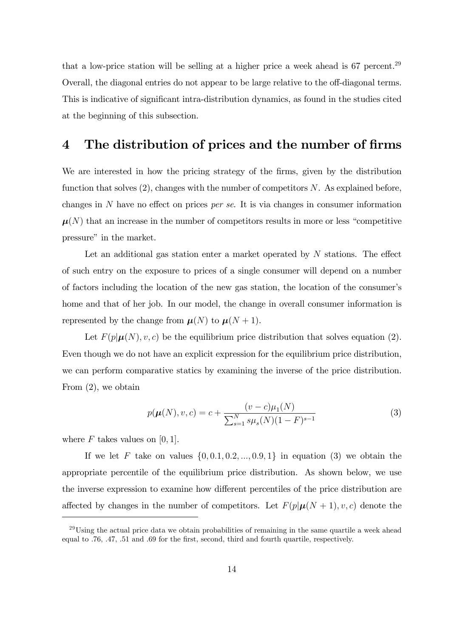that a low-price station will be selling at a higher price a week ahead is 67 percent.<sup>29</sup> Overall, the diagonal entries do not appear to be large relative to the off-diagonal terms. This is indicative of significant intra-distribution dynamics, as found in the studies cited at the beginning of this subsection.

# 4 The distribution of prices and the number of firms

We are interested in how the pricing strategy of the firms, given by the distribution function that solves  $(2)$ , changes with the number of competitors N. As explained before, changes in  $N$  have no effect on prices *per se*. It is via changes in consumer information  $\mu(N)$  that an increase in the number of competitors results in more or less "competitive" pressure" in the market.

Let an additional gas station enter a market operated by  $N$  stations. The effect of such entry on the exposure to prices of a single consumer will depend on a number of factors including the location of the new gas station, the location of the consumerís home and that of her job. In our model, the change in overall consumer information is represented by the change from  $\mu(N)$  to  $\mu(N + 1)$ .

Let  $F(p|\mu(N), v, c)$  be the equilibrium price distribution that solves equation (2). Even though we do not have an explicit expression for the equilibrium price distribution, we can perform comparative statics by examining the inverse of the price distribution. From (2), we obtain

$$
p(\boldsymbol{\mu}(N), v, c) = c + \frac{(v - c)\mu_1(N)}{\sum_{s=1}^N s\mu_s(N)(1 - F)^{s-1}}
$$
(3)

where  $F$  takes values on [0, 1].

If we let F take on values  $\{0, 0.1, 0.2, ..., 0.9, 1\}$  in equation (3) we obtain the appropriate percentile of the equilibrium price distribution. As shown below, we use the inverse expression to examine how different percentiles of the price distribution are affected by changes in the number of competitors. Let  $F(p|\mu(N + 1), v, c)$  denote the

 $^{29}$ Using the actual price data we obtain probabilities of remaining in the same quartile a week ahead equal to .76, .47, .51 and .69 for the first, second, third and fourth quartile, respectively.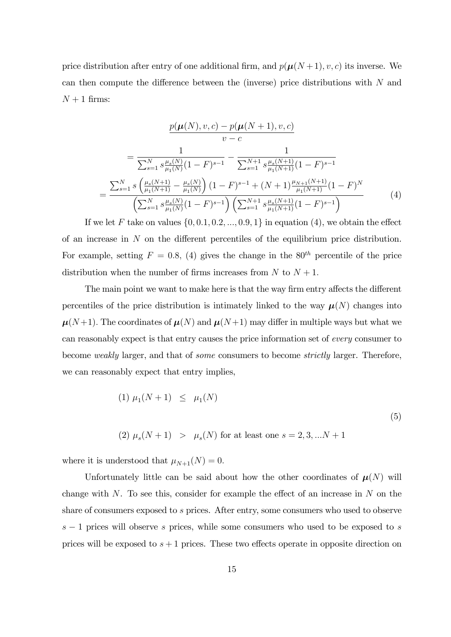price distribution after entry of one additional firm, and  $p(\mu(N+1), v, c)$  its inverse. We can then compute the difference between the (inverse) price distributions with  $N$  and  $N+1$  firms:

$$
\frac{p(\boldsymbol{\mu}(N), v, c) - p(\boldsymbol{\mu}(N+1), v, c)}{v - c}
$$
\n
$$
= \frac{1}{\sum_{s=1}^{N} s \frac{\mu_s(N)}{\mu_1(N)} (1 - F)^{s-1}} - \frac{1}{\sum_{s=1}^{N+1} s \frac{\mu_s(N+1)}{\mu_1(N+1)} (1 - F)^{s-1}}
$$
\n
$$
= \frac{\sum_{s=1}^{N} s \left( \frac{\mu_s(N+1)}{\mu_1(N+1)} - \frac{\mu_s(N)}{\mu_1(N)} \right) (1 - F)^{s-1} + (N+1) \frac{\mu_{N+1}(N+1)}{\mu_1(N+1)} (1 - F)^{N}}{\left( \sum_{s=1}^{N} s \frac{\mu_s(N)}{\mu_1(N)} (1 - F)^{s-1} \right) \left( \sum_{s=1}^{N+1} s \frac{\mu_s(N+1)}{\mu_1(N+1)} (1 - F)^{s-1} \right)}
$$
\n(4)

If we let F take on values  $\{0, 0.1, 0.2, ..., 0.9, 1\}$  in equation (4), we obtain the effect of an increase in  $N$  on the different percentiles of the equilibrium price distribution. For example, setting  $F = 0.8$ , (4) gives the change in the 80<sup>th</sup> percentile of the price distribution when the number of firms increases from  $N$  to  $N + 1$ .

The main point we want to make here is that the way firm entry affects the different percentiles of the price distribution is intimately linked to the way  $\mu(N)$  changes into  $\mu(N+1)$ . The coordinates of  $\mu(N)$  and  $\mu(N+1)$  may differ in multiple ways but what we can reasonably expect is that entry causes the price information set of every consumer to become weakly larger, and that of some consumers to become strictly larger. Therefore, we can reasonably expect that entry implies,

(1) 
$$
\mu_1(N+1) \le \mu_1(N)
$$
  
(2)  $\mu_s(N+1) > \mu_s(N)$  for at least one  $s = 2, 3, ...N + 1$  (5)

where it is understood that  $\mu_{N+1}(N) = 0$ .

Unfortunately little can be said about how the other coordinates of  $\mu(N)$  will change with  $N$ . To see this, consider for example the effect of an increase in  $N$  on the share of consumers exposed to s prices. After entry, some consumers who used to observe  $s-1$  prices will observe s prices, while some consumers who used to be exposed to s prices will be exposed to  $s + 1$  prices. These two effects operate in opposite direction on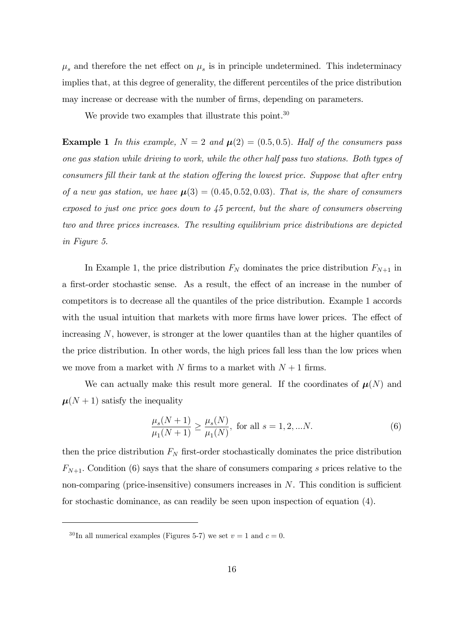$\mu_s$  and therefore the net effect on  $\mu_s$  is in principle undetermined. This indeterminacy implies that, at this degree of generality, the different percentiles of the price distribution may increase or decrease with the number of firms, depending on parameters.

We provide two examples that illustrate this point.<sup>30</sup>

**Example 1** In this example,  $N = 2$  and  $\mu(2) = (0.5, 0.5)$ . Half of the consumers pass one gas station while driving to work, while the other half pass two stations. Both types of consumers fill their tank at the station offering the lowest price. Suppose that after entry of a new gas station, we have  $\mu(3) = (0.45, 0.52, 0.03)$ . That is, the share of consumers exposed to just one price goes down to 45 percent, but the share of consumers observing two and three prices increases. The resulting equilibrium price distributions are depicted in Figure 5.

In Example 1, the price distribution  $F_N$  dominates the price distribution  $F_{N+1}$  in a first-order stochastic sense. As a result, the effect of an increase in the number of competitors is to decrease all the quantiles of the price distribution. Example 1 accords with the usual intuition that markets with more firms have lower prices. The effect of increasing N, however, is stronger at the lower quantiles than at the higher quantiles of the price distribution. In other words, the high prices fall less than the low prices when we move from a market with  $N$  firms to a market with  $N + 1$  firms.

We can actually make this result more general. If the coordinates of  $\mu(N)$  and  $\mu(N+1)$  satisfy the inequality

$$
\frac{\mu_s(N+1)}{\mu_1(N+1)} \ge \frac{\mu_s(N)}{\mu_1(N)}, \text{ for all } s = 1, 2, \dots N. \tag{6}
$$

then the price distribution  $F_N$  first-order stochastically dominates the price distribution  $F_{N+1}$ . Condition (6) says that the share of consumers comparing s prices relative to the non-comparing (price-insensitive) consumers increases in  $N$ . This condition is sufficient for stochastic dominance, as can readily be seen upon inspection of equation (4).

<sup>&</sup>lt;sup>30</sup>In all numerical examples (Figures 5-7) we set  $v = 1$  and  $c = 0$ .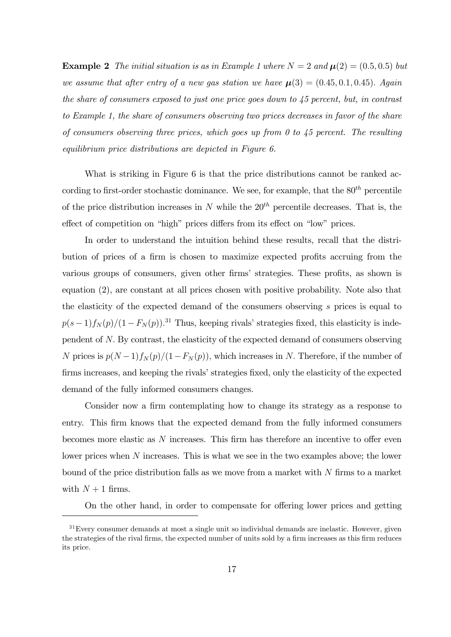**Example 2** The initial situation is as in Example 1 where  $N = 2$  and  $\mu(2) = (0.5, 0.5)$  but we assume that after entry of a new gas station we have  $\mu(3) = (0.45, 0.1, 0.45)$ . Again the share of consumers exposed to just one price goes down to 45 percent, but, in contrast to Example 1, the share of consumers observing two prices decreases in favor of the share of consumers observing three prices, which goes up from 0 to  $45$  percent. The resulting equilibrium price distributions are depicted in Figure 6.

What is striking in Figure 6 is that the price distributions cannot be ranked according to first-order stochastic dominance. We see, for example, that the  $80^{th}$  percentile of the price distribution increases in N while the  $20<sup>th</sup>$  percentile decreases. That is, the effect of competition on "high" prices differs from its effect on "low" prices.

In order to understand the intuition behind these results, recall that the distribution of prices of a firm is chosen to maximize expected profits accruing from the various groups of consumers, given other firms' strategies. These profits, as shown is equation (2), are constant at all prices chosen with positive probability. Note also that the elasticity of the expected demand of the consumers observing s prices is equal to  $p(s-1)f_N(p)/(1 - F_N(p))$ <sup>31</sup> Thus, keeping rivals' strategies fixed, this elasticity is independent of N: By contrast, the elasticity of the expected demand of consumers observing N prices is  $p(N-1)f_N(p)/(1-F_N(p))$ , which increases in N. Therefore, if the number of firms increases, and keeping the rivals' strategies fixed, only the elasticity of the expected demand of the fully informed consumers changes.

Consider now a firm contemplating how to change its strategy as a response to entry. This Örm knows that the expected demand from the fully informed consumers becomes more elastic as  $N$  increases. This firm has therefore an incentive to offer even lower prices when N increases. This is what we see in the two examples above; the lower bound of the price distribution falls as we move from a market with  $N$  firms to a market with  $N+1$  firms.

On the other hand, in order to compensate for offering lower prices and getting

<sup>&</sup>lt;sup>31</sup>Every consumer demands at most a single unit so individual demands are inelastic. However, given the strategies of the rival firms, the expected number of units sold by a firm increases as this firm reduces its price.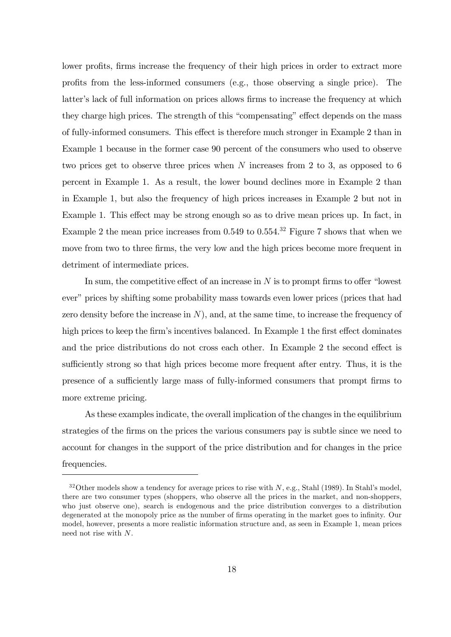lower profits, firms increase the frequency of their high prices in order to extract more profits from the less-informed consumers (e.g., those observing a single price). The latter's lack of full information on prices allows firms to increase the frequency at which they charge high prices. The strength of this "compensating" effect depends on the mass of fully-informed consumers. This effect is therefore much stronger in Example 2 than in Example 1 because in the former case 90 percent of the consumers who used to observe two prices get to observe three prices when N increases from 2 to 3, as opposed to 6 percent in Example 1. As a result, the lower bound declines more in Example 2 than in Example 1, but also the frequency of high prices increases in Example 2 but not in Example 1. This effect may be strong enough so as to drive mean prices up. In fact, in Example 2 the mean price increases from  $0.549$  to  $0.554<sup>32</sup>$  Figure 7 shows that when we move from two to three firms, the very low and the high prices become more frequent in detriment of intermediate prices.

In sum, the competitive effect of an increase in  $N$  is to prompt firms to offer "lowest ever" prices by shifting some probability mass towards even lower prices (prices that had zero density before the increase in  $N$ ), and, at the same time, to increase the frequency of high prices to keep the firm's incentives balanced. In Example 1 the first effect dominates and the price distributions do not cross each other. In Example 2 the second effect is sufficiently strong so that high prices become more frequent after entry. Thus, it is the presence of a sufficiently large mass of fully-informed consumers that prompt firms to more extreme pricing.

As these examples indicate, the overall implication of the changes in the equilibrium strategies of the firms on the prices the various consumers pay is subtle since we need to account for changes in the support of the price distribution and for changes in the price frequencies.

 $32$ Other models show a tendency for average prices to rise with N, e.g., Stahl (1989). In Stahl's model, there are two consumer types (shoppers, who observe all the prices in the market, and non-shoppers, who just observe one), search is endogenous and the price distribution converges to a distribution degenerated at the monopoly price as the number of firms operating in the market goes to infinity. Our model, however, presents a more realistic information structure and, as seen in Example 1, mean prices need not rise with N.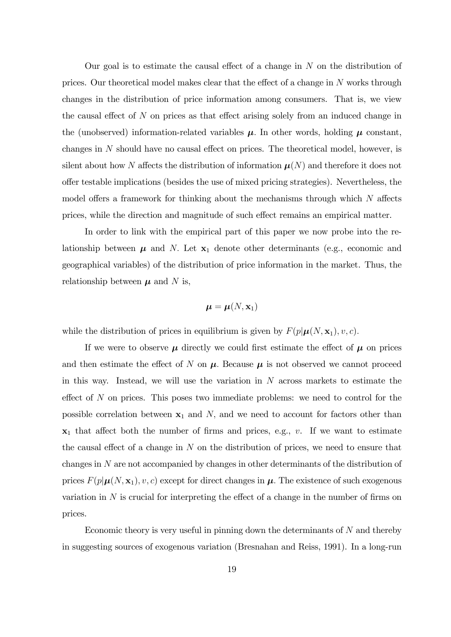Our goal is to estimate the causal effect of a change in  $N$  on the distribution of prices. Our theoretical model makes clear that the effect of a change in  $N$  works through changes in the distribution of price information among consumers. That is, we view the causal effect of  $N$  on prices as that effect arising solely from an induced change in the (unobserved) information-related variables  $\mu$ . In other words, holding  $\mu$  constant, changes in  $N$  should have no causal effect on prices. The theoretical model, however, is silent about how N affects the distribution of information  $\mu(N)$  and therefore it does not o§er testable implications (besides the use of mixed pricing strategies). Nevertheless, the model offers a framework for thinking about the mechanisms through which  $N$  affects prices, while the direction and magnitude of such effect remains an empirical matter.

In order to link with the empirical part of this paper we now probe into the relationship between  $\mu$  and N. Let  $x_1$  denote other determinants (e.g., economic and geographical variables) of the distribution of price information in the market. Thus, the relationship between  $\mu$  and N is,

$$
\boldsymbol{\mu} = \boldsymbol{\mu}(N, \mathbf{x}_1)
$$

while the distribution of prices in equilibrium is given by  $F(p|\mu(N, \mathbf{x}_1), v, c)$ .

If we were to observe  $\mu$  directly we could first estimate the effect of  $\mu$  on prices and then estimate the effect of N on  $\mu$ . Because  $\mu$  is not observed we cannot proceed in this way. Instead, we will use the variation in  $N$  across markets to estimate the effect of  $N$  on prices. This poses two immediate problems: we need to control for the possible correlation between  $x_1$  and  $N$ , and we need to account for factors other than  $x_1$  that affect both the number of firms and prices, e.g., v. If we want to estimate the causal effect of a change in  $N$  on the distribution of prices, we need to ensure that changes in N are not accompanied by changes in other determinants of the distribution of prices  $F(p|\mu(N, x_1), v, c)$  except for direct changes in  $\mu$ . The existence of such exogenous variation in  $N$  is crucial for interpreting the effect of a change in the number of firms on prices.

Economic theory is very useful in pinning down the determinants of  $N$  and thereby in suggesting sources of exogenous variation (Bresnahan and Reiss, 1991). In a long-run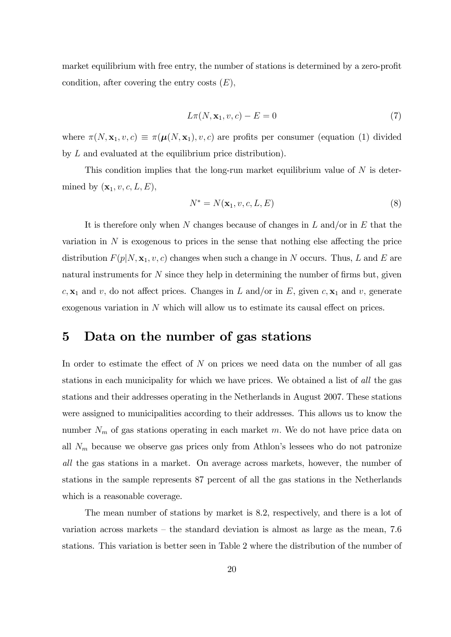market equilibrium with free entry, the number of stations is determined by a zero-profit condition, after covering the entry costs  $(E)$ ,

$$
L\pi(N, \mathbf{x}_1, v, c) - E = 0\tag{7}
$$

where  $\pi(N, \mathbf{x}_1, v, c) \equiv \pi(\boldsymbol{\mu}(N, \mathbf{x}_1), v, c)$  are profits per consumer (equation (1) divided by L and evaluated at the equilibrium price distribution).

This condition implies that the long-run market equilibrium value of  $N$  is determined by  $(\mathbf{x}_1, v, c, L, E)$ ,

$$
N^* = N(\mathbf{x}_1, v, c, L, E) \tag{8}
$$

It is therefore only when N changes because of changes in  $L$  and/or in  $E$  that the variation in  $N$  is exogenous to prices in the sense that nothing else affecting the price distribution  $F(p|N, \mathbf{x}_1, v, c)$  changes when such a change in N occurs. Thus, L and E are natural instruments for  $N$  since they help in determining the number of firms but, given  $c, \mathbf{x}_1$  and v, do not affect prices. Changes in L and/or in E, given  $c, \mathbf{x}_1$  and v, generate exogenous variation in  $N$  which will allow us to estimate its causal effect on prices.

### 5 Data on the number of gas stations

In order to estimate the effect of  $N$  on prices we need data on the number of all gas stations in each municipality for which we have prices. We obtained a list of all the gas stations and their addresses operating in the Netherlands in August 2007. These stations were assigned to municipalities according to their addresses. This allows us to know the number  $N_m$  of gas stations operating in each market m. We do not have price data on all  $N_m$  because we observe gas prices only from Athlon's lessees who do not patronize all the gas stations in a market. On average across markets, however, the number of stations in the sample represents 87 percent of all the gas stations in the Netherlands which is a reasonable coverage.

The mean number of stations by market is 8.2, respectively, and there is a lot of variation across markets  $-$  the standard deviation is almost as large as the mean, 7.6 stations. This variation is better seen in Table 2 where the distribution of the number of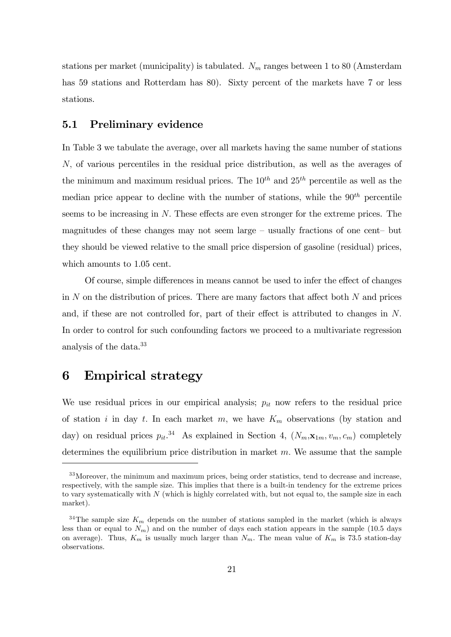stations per market (municipality) is tabulated.  $N_m$  ranges between 1 to 80 (Amsterdam has 59 stations and Rotterdam has 80). Sixty percent of the markets have 7 or less stations.

#### 5.1 Preliminary evidence

In Table 3 we tabulate the average, over all markets having the same number of stations N; of various percentiles in the residual price distribution, as well as the averages of the minimum and maximum residual prices. The  $10^{th}$  and  $25^{th}$  percentile as well as the median price appear to decline with the number of stations, while the  $90<sup>th</sup>$  percentile seems to be increasing in  $N$ . These effects are even stronger for the extreme prices. The magnitudes of these changes may not seem large  $-$  usually fractions of one cent $-$  but they should be viewed relative to the small price dispersion of gasoline (residual) prices, which amounts to 1.05 cent.

Of course, simple differences in means cannot be used to infer the effect of changes in  $N$  on the distribution of prices. There are many factors that affect both  $N$  and prices and, if these are not controlled for, part of their effect is attributed to changes in  $N$ . In order to control for such confounding factors we proceed to a multivariate regression analysis of the data.<sup>33</sup>

### 6 Empirical strategy

We use residual prices in our empirical analysis;  $p_{it}$  now refers to the residual price of station i in day t. In each market m, we have  $K_m$  observations (by station and day) on residual prices  $p_{it}^{34}$ . As explained in Section 4,  $(N_m, \mathbf{x}_{1m}, v_m, c_m)$  completely determines the equilibrium price distribution in market  $m$ . We assume that the sample

<sup>&</sup>lt;sup>33</sup>Moreover, the minimum and maximum prices, being order statistics, tend to decrease and increase, respectively, with the sample size. This implies that there is a built-in tendency for the extreme prices to vary systematically with N (which is highly correlated with, but not equal to, the sample size in each market).

<sup>&</sup>lt;sup>34</sup>The sample size  $K_m$  depends on the number of stations sampled in the market (which is always less than or equal to  $N_m$ ) and on the number of days each station appears in the sample (10.5 days on average). Thus,  $K_m$  is usually much larger than  $N_m$ . The mean value of  $K_m$  is 73.5 station-day observations.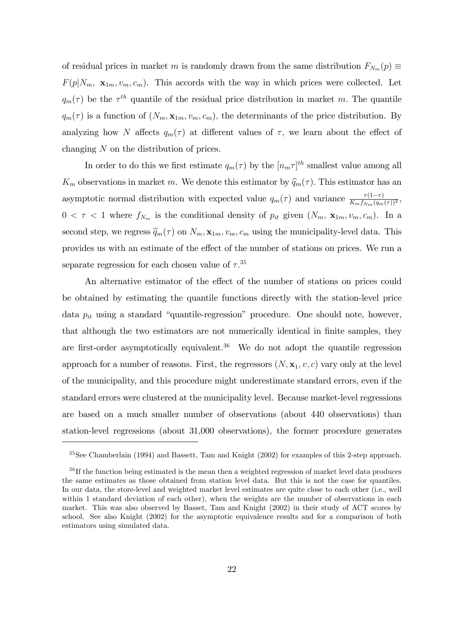of residual prices in market m is randomly drawn from the same distribution  $F_{N_m}(p) \equiv$  $F(p|N_m, x_{1m}, v_m, c_m)$ . This accords with the way in which prices were collected. Let  $q_m(\tau)$  be the  $\tau^{th}$  quantile of the residual price distribution in market m. The quantile  $q_m(\tau)$  is a function of  $(N_m, \mathbf{x}_{1m}, v_m, c_m)$ , the determinants of the price distribution. By analyzing how N affects  $q_m(\tau)$  at different values of  $\tau$ , we learn about the effect of changing N on the distribution of prices.

In order to do this we first estimate  $q_m(\tau)$  by the  $[n_m \tau]^{th}$  smallest value among all  $K_m$  observations in market m. We denote this estimator by  $\hat{q}_m(\tau)$ . This estimator has an asymptotic normal distribution with expected value  $q_m(\tau)$  and variance  $\frac{\tau(1-\tau)}{K_m f_{N_m}(q_m(\tau))^2}$ ,  $0 < \tau < 1$  where  $f_{N_m}$  is the conditional density of  $p_{it}$  given  $(N_m, \mathbf{x}_{1m}, v_m, c_m)$ . In a second step, we regress  $\hat{q}_m(\tau)$  on  $N_m$ ,  $\mathbf{x}_{1m}$ ,  $v_m$ ,  $c_m$  using the municipality-level data. This provides us with an estimate of the effect of the number of stations on prices. We run a separate regression for each chosen value of  $\tau$ .<sup>35</sup>

An alternative estimator of the effect of the number of stations on prices could be obtained by estimating the quantile functions directly with the station-level price data  $p_{it}$  using a standard "quantile-regression" procedure. One should note, however, that although the two estimators are not numerically identical in finite samples, they are first-order asymptotically equivalent.<sup>36</sup> We do not adopt the quantile regression approach for a number of reasons. First, the regressors  $(N, \mathbf{x}_1, v, c)$  vary only at the level of the municipality, and this procedure might underestimate standard errors, even if the standard errors were clustered at the municipality level. Because market-level regressions are based on a much smaller number of observations (about 440 observations) than station-level regressions (about 31,000 observations), the former procedure generates

<sup>35</sup>See Chamberlain (1994) and Bassett, Tam and Knight (2002) for examples of this 2-step approach.

<sup>&</sup>lt;sup>36</sup>If the function being estimated is the mean then a weighted regression of market level data produces the same estimates as those obtained from station level data. But this is not the case for quantiles. In our data, the store-level and weighted market level estimates are quite close to each other (i.e., well within 1 standard deviation of each other), when the weights are the number of observations in each market. This was also observed by Basset, Tam and Knight (2002) in their study of ACT scores by school. See also Knight (2002) for the asymptotic equivalence results and for a comparison of both estimators using simulated data.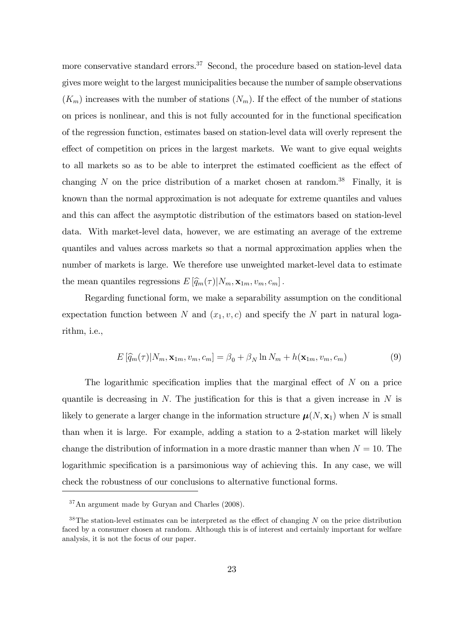more conservative standard errors.<sup>37</sup> Second, the procedure based on station-level data gives more weight to the largest municipalities because the number of sample observations  $(K_m)$  increases with the number of stations  $(N_m)$ . If the effect of the number of stations on prices is nonlinear, and this is not fully accounted for in the functional specification of the regression function, estimates based on station-level data will overly represent the effect of competition on prices in the largest markets. We want to give equal weights to all markets so as to be able to interpret the estimated coefficient as the effect of changing N on the price distribution of a market chosen at random.<sup>38</sup> Finally, it is known than the normal approximation is not adequate for extreme quantiles and values and this can affect the asymptotic distribution of the estimators based on station-level data. With market-level data, however, we are estimating an average of the extreme quantiles and values across markets so that a normal approximation applies when the number of markets is large. We therefore use unweighted market-level data to estimate the mean quantiles regressions  $E[\hat{q}_m(\tau)|N_m, \mathbf{x}_{1m}, v_m, c_m]$ .

Regarding functional form, we make a separability assumption on the conditional expectation function between N and  $(x_1, v, c)$  and specify the N part in natural logarithm, i.e.,

$$
E\left[\widehat{q}_m(\tau)|N_m, \mathbf{x}_{1m}, v_m, c_m\right] = \beta_0 + \beta_N \ln N_m + h(\mathbf{x}_{1m}, v_m, c_m)
$$
\n(9)

The logarithmic specification implies that the marginal effect of  $N$  on a price quantile is decreasing in  $N$ . The justification for this is that a given increase in  $N$  is likely to generate a larger change in the information structure  $\mu(N, x_1)$  when N is small than when it is large. For example, adding a station to a 2-station market will likely change the distribution of information in a more drastic manner than when  $N = 10$ . The logarithmic specification is a parsimonious way of achieving this. In any case, we will check the robustness of our conclusions to alternative functional forms.

<sup>37</sup>An argument made by Guryan and Charles (2008).

 $38$ The station-level estimates can be interpreted as the effect of changing N on the price distribution faced by a consumer chosen at random. Although this is of interest and certainly important for welfare analysis, it is not the focus of our paper.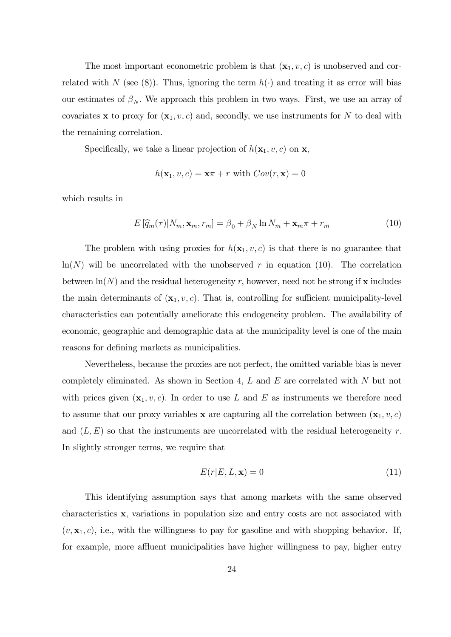The most important econometric problem is that  $(\mathbf{x}_1, v, c)$  is unobserved and correlated with N (see (8)). Thus, ignoring the term  $h(\cdot)$  and treating it as error will bias our estimates of  $\beta_N$ . We approach this problem in two ways. First, we use an array of covariates x to proxy for  $(x_1, v, c)$  and, secondly, we use instruments for N to deal with the remaining correlation.

Specifically, we take a linear projection of  $h(\mathbf{x}_1, v, c)$  on **x**,

$$
h(\mathbf{x}_1, v, c) = \mathbf{x}\pi + r \text{ with } Cov(r, \mathbf{x}) = 0
$$

which results in

$$
E\left[\widehat{q}_m(\tau)|N_m, \mathbf{x}_m, r_m\right] = \beta_0 + \beta_N \ln N_m + \mathbf{x}_m \tau + r_m \tag{10}
$$

The problem with using proxies for  $h(\mathbf{x}_1, v, c)$  is that there is no guarantee that  $ln(N)$  will be uncorrelated with the unobserved r in equation (10). The correlation between  $\ln(N)$  and the residual heterogeneity r, however, need not be strong if x includes the main determinants of  $(\mathbf{x}_1, v, c)$ . That is, controlling for sufficient municipality-level characteristics can potentially ameliorate this endogeneity problem. The availability of economic, geographic and demographic data at the municipality level is one of the main reasons for defining markets as municipalities.

Nevertheless, because the proxies are not perfect, the omitted variable bias is never completely eliminated. As shown in Section 4,  $L$  and  $E$  are correlated with  $N$  but not with prices given  $(\mathbf{x}_1, v, c)$ . In order to use L and E as instruments we therefore need to assume that our proxy variables **x** are capturing all the correlation between  $(\mathbf{x}_1, v, c)$ and  $(L, E)$  so that the instruments are uncorrelated with the residual heterogeneity r. In slightly stronger terms, we require that

$$
E(r|E, L, \mathbf{x}) = 0 \tag{11}
$$

This identifying assumption says that among markets with the same observed characteristics x; variations in population size and entry costs are not associated with  $(v, \mathbf{x}_1, c)$ , i.e., with the willingness to pay for gasoline and with shopping behavior. If, for example, more affluent municipalities have higher willingness to pay, higher entry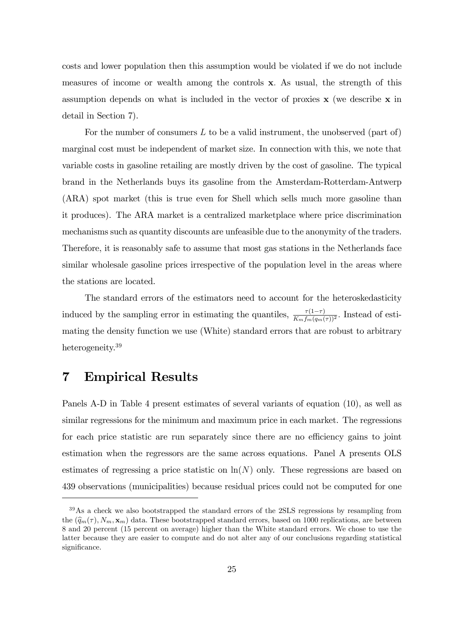costs and lower population then this assumption would be violated if we do not include measures of income or wealth among the controls x: As usual, the strength of this assumption depends on what is included in the vector of proxies  $x$  (we describe  $x$  in detail in Section 7).

For the number of consumers  $L$  to be a valid instrument, the unobserved (part of) marginal cost must be independent of market size. In connection with this, we note that variable costs in gasoline retailing are mostly driven by the cost of gasoline. The typical brand in the Netherlands buys its gasoline from the Amsterdam-Rotterdam-Antwerp (ARA) spot market (this is true even for Shell which sells much more gasoline than it produces). The ARA market is a centralized marketplace where price discrimination mechanisms such as quantity discounts are unfeasible due to the anonymity of the traders. Therefore, it is reasonably safe to assume that most gas stations in the Netherlands face similar wholesale gasoline prices irrespective of the population level in the areas where the stations are located.

The standard errors of the estimators need to account for the heteroskedasticity induced by the sampling error in estimating the quantiles,  $\frac{\tau(1-\tau)}{K_m f_m(q_m(\tau))^2}$ . Instead of estimating the density function we use (White) standard errors that are robust to arbitrary heterogeneity.<sup>39</sup>

### 7 Empirical Results

Panels A-D in Table 4 present estimates of several variants of equation (10), as well as similar regressions for the minimum and maximum price in each market. The regressions for each price statistic are run separately since there are no efficiency gains to joint estimation when the regressors are the same across equations. Panel A presents OLS estimates of regressing a price statistic on  $\ln(N)$  only. These regressions are based on 439 observations (municipalities) because residual prices could not be computed for one

<sup>&</sup>lt;sup>39</sup>As a check we also bootstrapped the standard errors of the 2SLS regressions by resampling from the  $(\widehat{q}_m(\tau), N_m, \mathbf{x}_m)$  data. These bootstrapped standard errors, based on 1000 replications, are between 8 and 20 percent (15 percent on average) higher than the White standard errors. We chose to use the latter because they are easier to compute and do not alter any of our conclusions regarding statistical significance.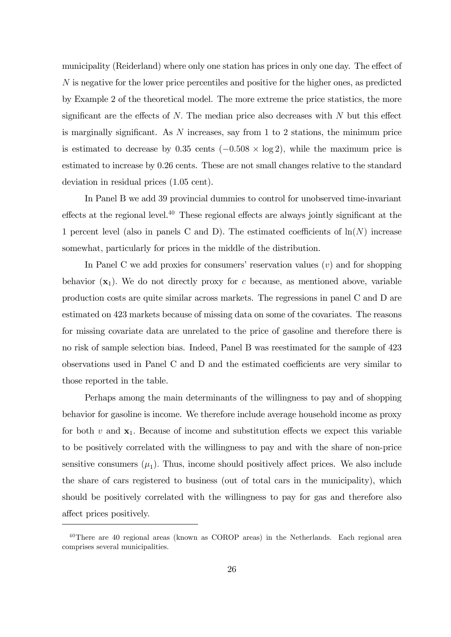municipality (Reiderland) where only one station has prices in only one day. The effect of N is negative for the lower price percentiles and positive for the higher ones, as predicted by Example 2 of the theoretical model. The more extreme the price statistics, the more significant are the effects of  $N$ . The median price also decreases with  $N$  but this effect is marginally significant. As  $N$  increases, say from 1 to 2 stations, the minimum price is estimated to decrease by  $0.35$  cents  $(-0.508 \times \log 2)$ , while the maximum price is estimated to increase by 0.26 cents. These are not small changes relative to the standard deviation in residual prices (1.05 cent).

In Panel B we add 39 provincial dummies to control for unobserved time-invariant effects at the regional level.<sup>40</sup> These regional effects are always jointly significant at the 1 percent level (also in panels C and D). The estimated coefficients of  $\ln(N)$  increase somewhat, particularly for prices in the middle of the distribution.

In Panel C we add proxies for consumers' reservation values  $(v)$  and for shopping behavior  $(x_1)$ . We do not directly proxy for c because, as mentioned above, variable production costs are quite similar across markets. The regressions in panel C and D are estimated on 423 markets because of missing data on some of the covariates. The reasons for missing covariate data are unrelated to the price of gasoline and therefore there is no risk of sample selection bias. Indeed, Panel B was reestimated for the sample of 423 observations used in Panel C and D and the estimated coefficients are very similar to those reported in the table.

Perhaps among the main determinants of the willingness to pay and of shopping behavior for gasoline is income. We therefore include average household income as proxy for both  $v$  and  $x_1$ . Because of income and substitution effects we expect this variable to be positively correlated with the willingness to pay and with the share of non-price sensitive consumers  $(\mu_1)$ . Thus, income should positively affect prices. We also include the share of cars registered to business (out of total cars in the municipality), which should be positively correlated with the willingness to pay for gas and therefore also affect prices positively.

<sup>40</sup>There are 40 regional areas (known as COROP areas) in the Netherlands. Each regional area comprises several municipalities.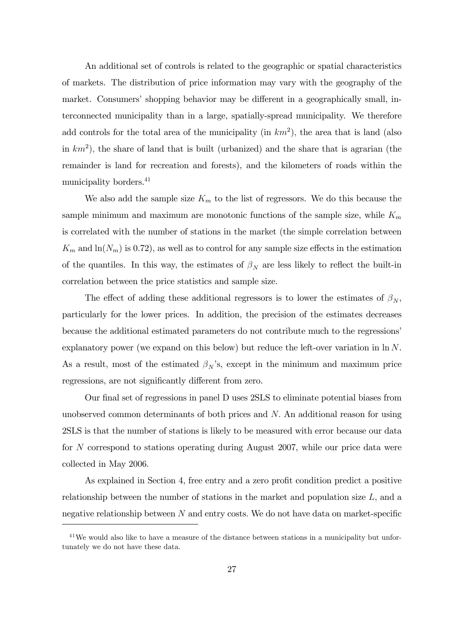An additional set of controls is related to the geographic or spatial characteristics of markets. The distribution of price information may vary with the geography of the market. Consumers' shopping behavior may be different in a geographically small, interconnected municipality than in a large, spatially-spread municipality. We therefore add controls for the total area of the municipality (in  $km^2$ ), the area that is land (also in  $km<sup>2</sup>$ ), the share of land that is built (urbanized) and the share that is agrarian (the remainder is land for recreation and forests), and the kilometers of roads within the municipality borders.<sup>41</sup>

We also add the sample size  $K_m$  to the list of regressors. We do this because the sample minimum and maximum are monotonic functions of the sample size, while  $K_m$ is correlated with the number of stations in the market (the simple correlation between  $K_m$  and  $\ln(N_m)$  is 0.72), as well as to control for any sample size effects in the estimation of the quantiles. In this way, the estimates of  $\beta_N$  are less likely to reflect the built-in correlation between the price statistics and sample size.

The effect of adding these additional regressors is to lower the estimates of  $\beta_N$ , particularly for the lower prices. In addition, the precision of the estimates decreases because the additional estimated parameters do not contribute much to the regressions<sup>7</sup> explanatory power (we expand on this below) but reduce the left-over variation in ln N. As a result, most of the estimated  $\beta_N$ 's, except in the minimum and maximum price regressions, are not significantly different from zero.

Our final set of regressions in panel D uses 2SLS to eliminate potential biases from unobserved common determinants of both prices and N: An additional reason for using 2SLS is that the number of stations is likely to be measured with error because our data for N correspond to stations operating during August 2007, while our price data were collected in May 2006.

As explained in Section 4, free entry and a zero profit condition predict a positive relationship between the number of stations in the market and population size L, and a negative relationship between  $N$  and entry costs. We do not have data on market-specific

<sup>&</sup>lt;sup>41</sup>We would also like to have a measure of the distance between stations in a municipality but unfortunately we do not have these data.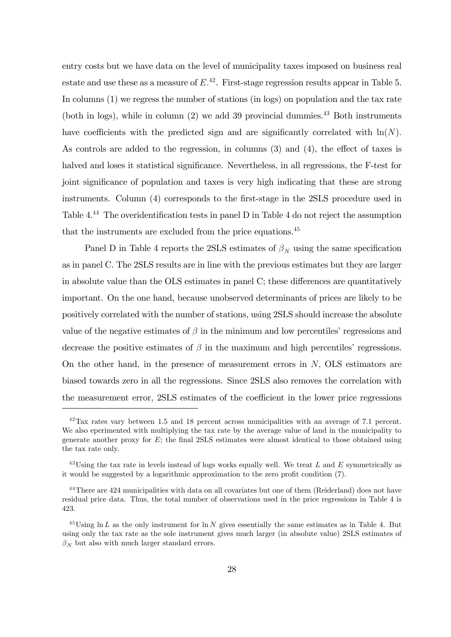entry costs but we have data on the level of municipality taxes imposed on business real estate and use these as a measure of  $E^{42}$ . First-stage regression results appear in Table 5. In columns (1) we regress the number of stations (in logs) on population and the tax rate (both in logs), while in column  $(2)$  we add 39 provincial dummies.<sup>43</sup> Both instruments have coefficients with the predicted sign and are significantly correlated with  $\ln(N)$ . As controls are added to the regression, in columns  $(3)$  and  $(4)$ , the effect of taxes is halved and loses it statistical significance. Nevertheless, in all regressions, the F-test for joint significance of population and taxes is very high indicating that these are strong instruments. Column (4) corresponds to the first-stage in the 2SLS procedure used in Table  $4^{44}$  The overidentification tests in panel D in Table 4 do not reject the assumption that the instruments are excluded from the price equations.<sup>45</sup>

Panel D in Table 4 reports the 2SLS estimates of  $\beta_N$  using the same specification as in panel C. The 2SLS results are in line with the previous estimates but they are larger in absolute value than the OLS estimates in panel C; these differences are quantitatively important. On the one hand, because unobserved determinants of prices are likely to be positively correlated with the number of stations, using 2SLS should increase the absolute value of the negative estimates of  $\beta$  in the minimum and low percentiles' regressions and decrease the positive estimates of  $\beta$  in the maximum and high percentiles' regressions. On the other hand, in the presence of measurement errors in  $N$ , OLS estimators are biased towards zero in all the regressions. Since 2SLS also removes the correlation with the measurement error, 2SLS estimates of the coefficient in the lower price regressions

 $42$ Tax rates vary between 1.5 and 18 percent across municipalities with an average of 7.1 percent. We also eperimented with multiplying the tax rate by the average value of land in the municipality to generate another proxy for  $E$ ; the final 2SLS estimates were almost identical to those obtained using the tax rate only.

<sup>&</sup>lt;sup>43</sup>Using the tax rate in levels instead of logs works equally well. We treat L and E symmetrically as it would be suggested by a logarithmic approximation to the zero profit condition  $(7)$ .

<sup>&</sup>lt;sup>44</sup>There are 424 municipalities with data on all covariates but one of them (Reiderland) does not have residual price data. Thus, the total number of observations used in the price regressions in Table 4 is 423.

<sup>&</sup>lt;sup>45</sup>Using ln L as the only instrument for ln N gives essentially the same estimates as in Table 4. But using only the tax rate as the sole instrument gives much larger (in absolute value) 2SLS estimates of  $\beta_N$  but also with much larger standard errors.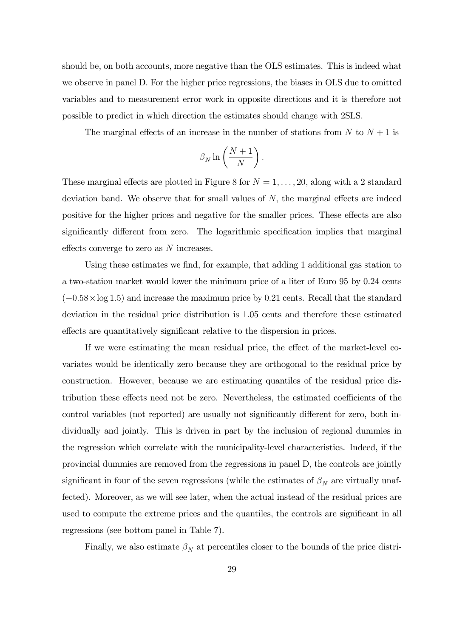should be, on both accounts, more negative than the OLS estimates. This is indeed what we observe in panel D. For the higher price regressions, the biases in OLS due to omitted variables and to measurement error work in opposite directions and it is therefore not possible to predict in which direction the estimates should change with 2SLS.

The marginal effects of an increase in the number of stations from  $N$  to  $N + 1$  is

$$
\beta_N \ln \left( \frac{N+1}{N} \right).
$$

These marginal effects are plotted in Figure 8 for  $N = 1, \ldots, 20$ , along with a 2 standard deviation band. We observe that for small values of  $N$ , the marginal effects are indeed positive for the higher prices and negative for the smaller prices. These effects are also significantly different from zero. The logarithmic specification implies that marginal effects converge to zero as  $N$  increases.

Using these estimates we find, for example, that adding 1 additional gas station to a two-station market would lower the minimum price of a liter of Euro 95 by 0.24 cents  $(-0.58 \times \log 1.5)$  and increase the maximum price by 0.21 cents. Recall that the standard deviation in the residual price distribution is 1.05 cents and therefore these estimated effects are quantitatively significant relative to the dispersion in prices.

If we were estimating the mean residual price, the effect of the market-level covariates would be identically zero because they are orthogonal to the residual price by construction. However, because we are estimating quantiles of the residual price distribution these effects need not be zero. Nevertheless, the estimated coefficients of the control variables (not reported) are usually not significantly different for zero, both individually and jointly. This is driven in part by the inclusion of regional dummies in the regression which correlate with the municipality-level characteristics. Indeed, if the provincial dummies are removed from the regressions in panel D, the controls are jointly significant in four of the seven regressions (while the estimates of  $\beta_N$  are virtually unaffected). Moreover, as we will see later, when the actual instead of the residual prices are used to compute the extreme prices and the quantiles, the controls are significant in all regressions (see bottom panel in Table 7).

Finally, we also estimate  $\beta_N$  at percentiles closer to the bounds of the price distri-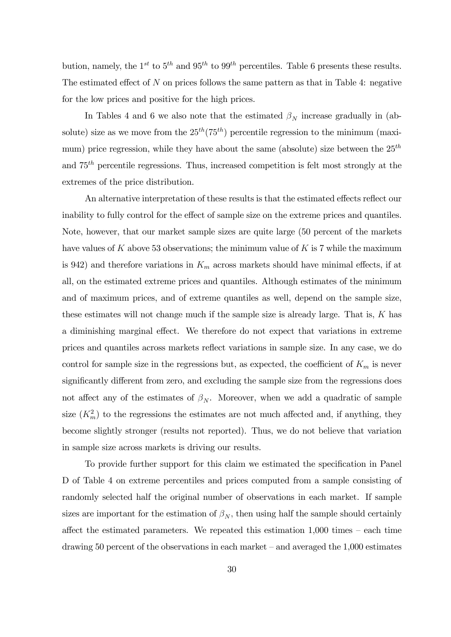bution, namely, the 1<sup>st</sup> to 5<sup>th</sup> and 95<sup>th</sup> to 99<sup>th</sup> percentiles. Table 6 presents these results. The estimated effect of  $N$  on prices follows the same pattern as that in Table 4: negative for the low prices and positive for the high prices.

In Tables 4 and 6 we also note that the estimated  $\beta_N$  increase gradually in (absolute) size as we move from the  $25<sup>th</sup>(75<sup>th</sup>)$  percentile regression to the minimum (maximum) price regression, while they have about the same (absolute) size between the  $25<sup>th</sup>$ and 75th percentile regressions. Thus, increased competition is felt most strongly at the extremes of the price distribution.

An alternative interpretation of these results is that the estimated effects reflect our inability to fully control for the effect of sample size on the extreme prices and quantiles. Note, however, that our market sample sizes are quite large (50 percent of the markets have values of K above 53 observations; the minimum value of K is  $7$  while the maximum is 942) and therefore variations in  $K_m$  across markets should have minimal effects, if at all, on the estimated extreme prices and quantiles. Although estimates of the minimum and of maximum prices, and of extreme quantiles as well, depend on the sample size, these estimates will not change much if the sample size is already large. That is, K has a diminishing marginal effect. We therefore do not expect that variations in extreme prices and quantiles across markets reáect variations in sample size. In any case, we do control for sample size in the regressions but, as expected, the coefficient of  $K_m$  is never significantly different from zero, and excluding the sample size from the regressions does not affect any of the estimates of  $\beta_N$ . Moreover, when we add a quadratic of sample size  $(K<sub>m</sub><sup>2</sup>)$  to the regressions the estimates are not much affected and, if anything, they become slightly stronger (results not reported). Thus, we do not believe that variation in sample size across markets is driving our results.

To provide further support for this claim we estimated the specification in Panel D of Table 4 on extreme percentiles and prices computed from a sample consisting of randomly selected half the original number of observations in each market. If sample sizes are important for the estimation of  $\beta_N$ , then using half the sample should certainly affect the estimated parameters. We repeated this estimation  $1,000$  times  $-$  each time drawing 50 percent of the observations in each market  $-$  and averaged the 1,000 estimates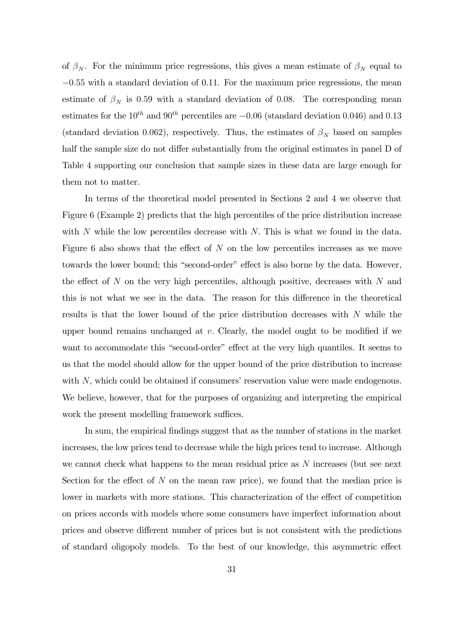of  $\beta_N$ . For the minimum price regressions, this gives a mean estimate of  $\beta_N$  equal to  $-0.55$  with a standard deviation of 0.11. For the maximum price regressions, the mean estimate of  $\beta_N$  is 0.59 with a standard deviation of 0.08. The corresponding mean estimates for the  $10^{th}$  and  $90^{th}$  percentiles are  $-0.06$  (standard deviation 0.046) and 0.13 (standard deviation 0.062), respectively. Thus, the estimates of  $\beta_N$  based on samples half the sample size do not differ substantially from the original estimates in panel D of Table 4 supporting our conclusion that sample sizes in these data are large enough for them not to matter.

In terms of the theoretical model presented in Sections 2 and 4 we observe that Figure 6 (Example 2) predicts that the high percentiles of the price distribution increase with  $N$  while the low percentiles decrease with  $N$ . This is what we found in the data. Figure 6 also shows that the effect of  $N$  on the low percentiles increases as we move towards the lower bound; this "second-order" effect is also borne by the data. However, the effect of N on the very high percentiles, although positive, decreases with N and this is not what we see in the data. The reason for this difference in the theoretical results is that the lower bound of the price distribution decreases with N while the upper bound remains unchanged at  $v$ . Clearly, the model ought to be modified if we want to accommodate this "second-order" effect at the very high quantiles. It seems to us that the model should allow for the upper bound of the price distribution to increase with  $N$ , which could be obtained if consumers' reservation value were made endogenous. We believe, however, that for the purposes of organizing and interpreting the empirical work the present modelling framework suffices.

In sum, the empirical Öndings suggest that as the number of stations in the market increases, the low prices tend to decrease while the high prices tend to increase. Although we cannot check what happens to the mean residual price as N increases (but see next Section for the effect of  $N$  on the mean raw price), we found that the median price is lower in markets with more stations. This characterization of the effect of competition on prices accords with models where some consumers have imperfect information about prices and observe different number of prices but is not consistent with the predictions of standard oligopoly models. To the best of our knowledge, this asymmetric effect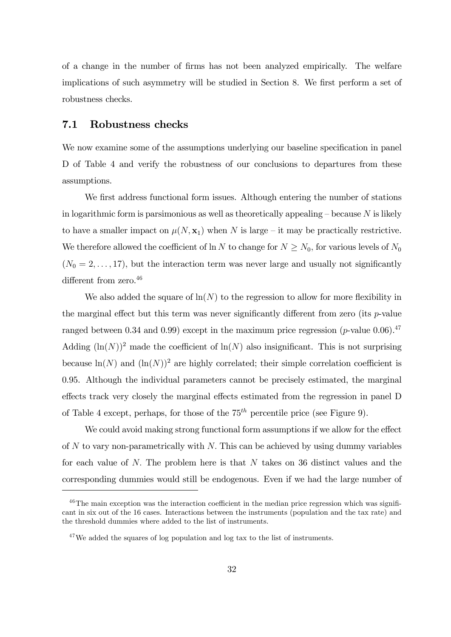of a change in the number of Örms has not been analyzed empirically. The welfare implications of such asymmetry will be studied in Section 8. We first perform a set of robustness checks.

#### 7.1 Robustness checks

We now examine some of the assumptions underlying our baseline specification in panel D of Table 4 and verify the robustness of our conclusions to departures from these assumptions.

We first address functional form issues. Although entering the number of stations in logarithmic form is parsimonious as well as theoretically appealing  $\sim$  because N is likely to have a smaller impact on  $\mu(N, x_1)$  when N is large – it may be practically restrictive. We therefore allowed the coefficient of ln N to change for  $N \ge N_0$ , for various levels of  $N_0$  $(N_0 = 2, \ldots, 17)$ , but the interaction term was never large and usually not significantly different from zero. $46$ 

We also added the square of  $\ln(N)$  to the regression to allow for more flexibility in the marginal effect but this term was never significantly different from zero (its  $p$ -value ranged between 0.34 and 0.99) except in the maximum price regression (*p*-value 0.06).<sup>47</sup> Adding  $(\ln(N))^2$  made the coefficient of  $\ln(N)$  also insignificant. This is not surprising because  $\ln(N)$  and  $(\ln(N))^2$  are highly correlated; their simple correlation coefficient is 0.95. Although the individual parameters cannot be precisely estimated, the marginal effects track very closely the marginal effects estimated from the regression in panel D of Table 4 except, perhaps, for those of the  $75<sup>th</sup>$  percentile price (see Figure 9).

We could avoid making strong functional form assumptions if we allow for the effect of  $N$  to vary non-parametrically with  $N$ . This can be achieved by using dummy variables for each value of  $N$ . The problem here is that  $N$  takes on 36 distinct values and the corresponding dummies would still be endogenous. Even if we had the large number of

 $^{46}$ The main exception was the interaction coefficient in the median price regression which was significant in six out of the 16 cases. Interactions between the instruments (population and the tax rate) and the threshold dummies where added to the list of instruments.

 $47$ We added the squares of log population and log tax to the list of instruments.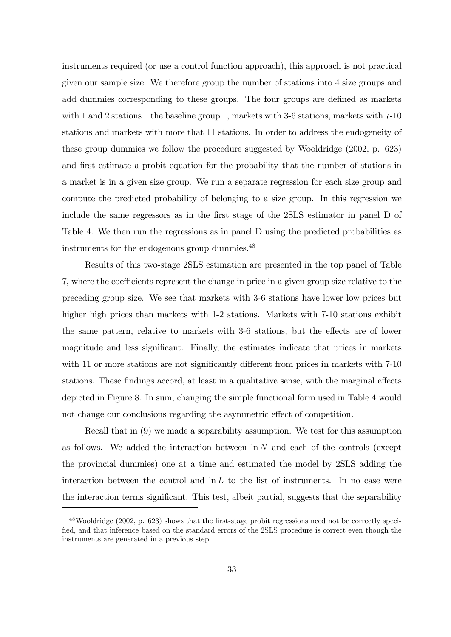instruments required (or use a control function approach), this approach is not practical given our sample size. We therefore group the number of stations into 4 size groups and add dummies corresponding to these groups. The four groups are defined as markets with 1 and 2 stations – the baseline group –, markets with 3-6 stations, markets with 7-10 stations and markets with more that 11 stations. In order to address the endogeneity of these group dummies we follow the procedure suggested by Wooldridge (2002, p. 623) and first estimate a probit equation for the probability that the number of stations in a market is in a given size group. We run a separate regression for each size group and compute the predicted probability of belonging to a size group. In this regression we include the same regressors as in the first stage of the 2SLS estimator in panel D of Table 4. We then run the regressions as in panel D using the predicted probabilities as instruments for the endogenous group dummies.<sup>48</sup>

Results of this two-stage 2SLS estimation are presented in the top panel of Table 7, where the coefficients represent the change in price in a given group size relative to the preceding group size. We see that markets with 3-6 stations have lower low prices but higher high prices than markets with 1-2 stations. Markets with 7-10 stations exhibit the same pattern, relative to markets with 3-6 stations, but the effects are of lower magnitude and less significant. Finally, the estimates indicate that prices in markets with 11 or more stations are not significantly different from prices in markets with  $7-10$ stations. These findings accord, at least in a qualitative sense, with the marginal effects depicted in Figure 8. In sum, changing the simple functional form used in Table 4 would not change our conclusions regarding the asymmetric effect of competition.

Recall that in (9) we made a separability assumption. We test for this assumption as follows. We added the interaction between  $\ln N$  and each of the controls (except the provincial dummies) one at a time and estimated the model by 2SLS adding the interaction between the control and  $\ln L$  to the list of instruments. In no case were the interaction terms significant. This test, albeit partial, suggests that the separability

 $^{48}$ Wooldridge (2002, p. 623) shows that the first-stage probit regressions need not be correctly specified, and that inference based on the standard errors of the 2SLS procedure is correct even though the instruments are generated in a previous step.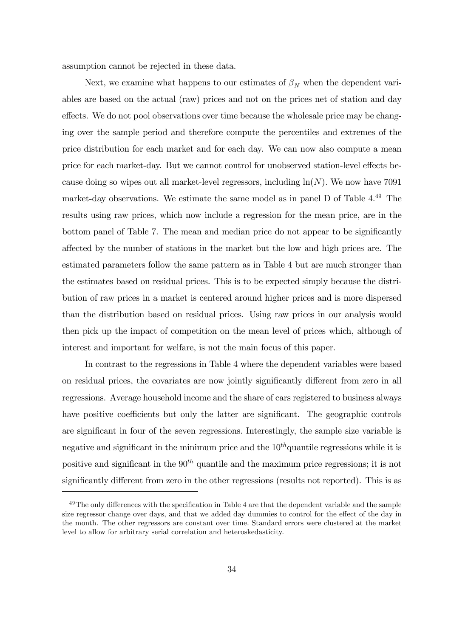assumption cannot be rejected in these data.

Next, we examine what happens to our estimates of  $\beta_N$  when the dependent variables are based on the actual (raw) prices and not on the prices net of station and day effects. We do not pool observations over time because the wholesale price may be changing over the sample period and therefore compute the percentiles and extremes of the price distribution for each market and for each day. We can now also compute a mean price for each market-day. But we cannot control for unobserved station-level effects because doing so wipes out all market-level regressors, including  $\ln(N)$ . We now have 7091 market-day observations. We estimate the same model as in panel D of Table 4.<sup>49</sup> The results using raw prices, which now include a regression for the mean price, are in the bottom panel of Table 7. The mean and median price do not appear to be significantly a§ected by the number of stations in the market but the low and high prices are. The estimated parameters follow the same pattern as in Table 4 but are much stronger than the estimates based on residual prices. This is to be expected simply because the distribution of raw prices in a market is centered around higher prices and is more dispersed than the distribution based on residual prices. Using raw prices in our analysis would then pick up the impact of competition on the mean level of prices which, although of interest and important for welfare, is not the main focus of this paper.

In contrast to the regressions in Table 4 where the dependent variables were based on residual prices, the covariates are now jointly significantly different from zero in all regressions. Average household income and the share of cars registered to business always have positive coefficients but only the latter are significant. The geographic controls are significant in four of the seven regressions. Interestingly, the sample size variable is negative and significant in the minimum price and the  $10<sup>th</sup>$  quantile regressions while it is positive and significant in the  $90<sup>th</sup>$  quantile and the maximum price regressions; it is not significantly different from zero in the other regressions (results not reported). This is as

 $49$ The only differences with the specification in Table 4 are that the dependent variable and the sample size regressor change over days, and that we added day dummies to control for the effect of the day in the month. The other regressors are constant over time. Standard errors were clustered at the market level to allow for arbitrary serial correlation and heteroskedasticity.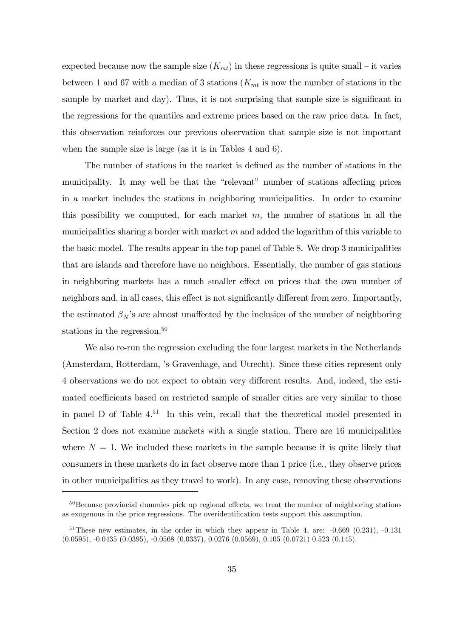expected because now the sample size  $(K_{mt})$  in these regressions is quite small – it varies between 1 and 67 with a median of 3 stations ( $K<sub>mt</sub>$  is now the number of stations in the sample by market and day). Thus, it is not surprising that sample size is significant in the regressions for the quantiles and extreme prices based on the raw price data. In fact, this observation reinforces our previous observation that sample size is not important when the sample size is large (as it is in Tables 4 and 6).

The number of stations in the market is defined as the number of stations in the municipality. It may well be that the "relevant" number of stations affecting prices in a market includes the stations in neighboring municipalities. In order to examine this possibility we computed, for each market  $m$ , the number of stations in all the municipalities sharing a border with market  $m$  and added the logarithm of this variable to the basic model. The results appear in the top panel of Table 8. We drop 3 municipalities that are islands and therefore have no neighbors. Essentially, the number of gas stations in neighboring markets has a much smaller effect on prices that the own number of neighbors and, in all cases, this effect is not significantly different from zero. Importantly, the estimated  $\beta_N$ 's are almost unaffected by the inclusion of the number of neighboring stations in the regression.<sup>50</sup>

We also re-run the regression excluding the four largest markets in the Netherlands (Amsterdam, Rotterdam, ís-Gravenhage, and Utrecht). Since these cities represent only 4 observations we do not expect to obtain very different results. And, indeed, the estimated coefficients based on restricted sample of smaller cities are very similar to those in panel D of Table  $4^{51}$ . In this vein, recall that the theoretical model presented in Section 2 does not examine markets with a single station: There are 16 municipalities where  $N = 1$ . We included these markets in the sample because it is quite likely that consumers in these markets do in fact observe more than 1 price (i.e., they observe prices in other municipalities as they travel to work). In any case, removing these observations

 $50$ Because provincial dummies pick up regional effects, we treat the number of neighboring stations as exogenous in the price regressions. The overidentification tests support this assumption.

 $51$ These new estimates, in the order in which they appear in Table 4, are:  $-0.669$  (0.231),  $-0.131$ (0.0595), -0.0435 (0.0395), -0.0568 (0.0337), 0.0276 (0.0569), 0.105 (0.0721) 0.523 (0.145).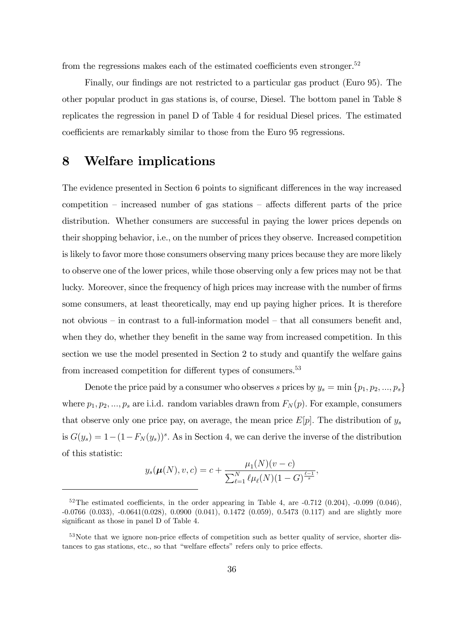from the regressions makes each of the estimated coefficients even stronger.<sup>52</sup>

Finally, our findings are not restricted to a particular gas product (Euro 95). The other popular product in gas stations is, of course, Diesel. The bottom panel in Table 8 replicates the regression in panel D of Table 4 for residual Diesel prices. The estimated coefficients are remarkably similar to those from the Euro 95 regressions.

### 8 Welfare implications

The evidence presented in Section 6 points to significant differences in the way increased competition  $\overline{\phantom{a}}$  increased number of gas stations  $\overline{\phantom{a}}$  affects different parts of the price distribution. Whether consumers are successful in paying the lower prices depends on their shopping behavior, i.e., on the number of prices they observe. Increased competition is likely to favor more those consumers observing many prices because they are more likely to observe one of the lower prices, while those observing only a few prices may not be that lucky. Moreover, since the frequency of high prices may increase with the number of firms some consumers, at least theoretically, may end up paying higher prices. It is therefore not obvious  $-$  in contrast to a full-information model  $-$  that all consumers benefit and, when they do, whether they benefit in the same way from increased competition. In this section we use the model presented in Section 2 to study and quantify the welfare gains from increased competition for different types of consumers.<sup>53</sup>

Denote the price paid by a consumer who observes s prices by  $y_s = \min \{p_1, p_2, ..., p_s\}$ where  $p_1, p_2, ..., p_s$  are i.i.d. random variables drawn from  $F_N(p)$ . For example, consumers that observe only one price pay, on average, the mean price  $E[p]$ . The distribution of  $y_s$ is  $G(y_s) = 1-(1-F_N(y_s))^s$ . As in Section 4, we can derive the inverse of the distribution of this statistic:

$$
y_s(\boldsymbol{\mu}(N), v, c) = c + \frac{\mu_1(N)(v - c)}{\sum_{\ell=1}^N \ell \mu_\ell(N)(1 - G)^{\frac{\ell-1}{s}}},
$$

 $52$ The estimated coefficients, in the order appearing in Table 4, are  $-0.712$  (0.204),  $-0.099$  (0.046), -0.0766 (0.033), -0.0641(0.028), 0.0900 (0.041), 0.1472 (0.059), 0.5473 (0.117) and are slightly more significant as those in panel D of Table 4.

 $53$ Note that we ignore non-price effects of competition such as better quality of service, shorter distances to gas stations, etc., so that "welfare effects" refers only to price effects.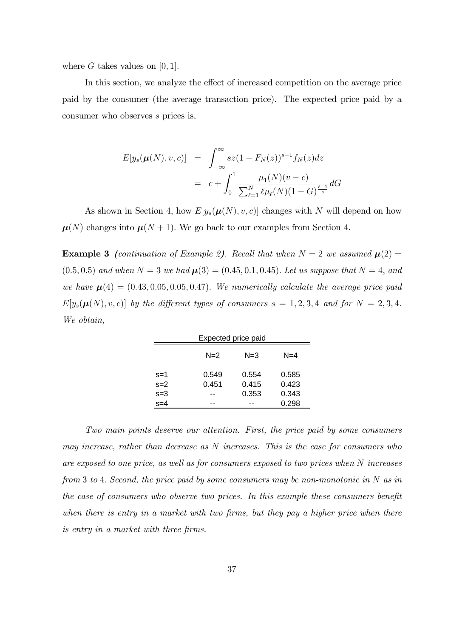where G takes values on  $[0, 1]$ .

In this section, we analyze the effect of increased competition on the average price paid by the consumer (the average transaction price). The expected price paid by a consumer who observes s prices is,

$$
E[y_s(\mu(N), v, c)] = \int_{-\infty}^{\infty} s z (1 - F_N(z))^{s-1} f_N(z) dz
$$
  
= 
$$
c + \int_0^1 \frac{\mu_1(N)(v - c)}{\sum_{\ell=1}^N \ell \mu_\ell(N)(1 - G)^{\frac{\ell-1}{s}}} dG
$$

As shown in Section 4, how  $E[y_s(\mu(N), v, c)]$  changes with N will depend on how  $\mu(N)$  changes into  $\mu(N + 1)$ . We go back to our examples from Section 4.

**Example 3** (continuation of Example 2). Recall that when  $N = 2$  we assumed  $\mu(2) =$  $(0.5, 0.5)$  and when  $N = 3$  we had  $\mu(3) = (0.45, 0.1, 0.45)$ . Let us suppose that  $N = 4$ , and we have  $\mu(4) = (0.43, 0.05, 0.05, 0.47)$ . We numerically calculate the average price paid  $E[y_s(\mu(N), v, c)]$  by the different types of consumers  $s = 1, 2, 3, 4$  and for  $N = 2, 3, 4$ . We obtain,

| Expected price paid         |       |       |       |  |  |  |  |  |  |
|-----------------------------|-------|-------|-------|--|--|--|--|--|--|
| $N=2$<br>$N = 3$<br>$N = 4$ |       |       |       |  |  |  |  |  |  |
| $s=1$                       | 0.549 | 0.554 | 0.585 |  |  |  |  |  |  |
| $s=2$                       | 0.451 | 0.415 | 0.423 |  |  |  |  |  |  |
| $s=3$                       | --    | 0.353 | 0.343 |  |  |  |  |  |  |
| $s = 4$                     |       |       | 0.298 |  |  |  |  |  |  |

Two main points deserve our attention. First, the price paid by some consumers may increase, rather than decrease as N increases. This is the case for consumers who are exposed to one price, as well as for consumers exposed to two prices when N increases from 3 to 4. Second, the price paid by some consumers may be non-monotonic in  $N$  as in the case of consumers who observe two prices. In this example these consumers benefit when there is entry in a market with two firms, but they pay a higher price when there is entry in a market with three firms.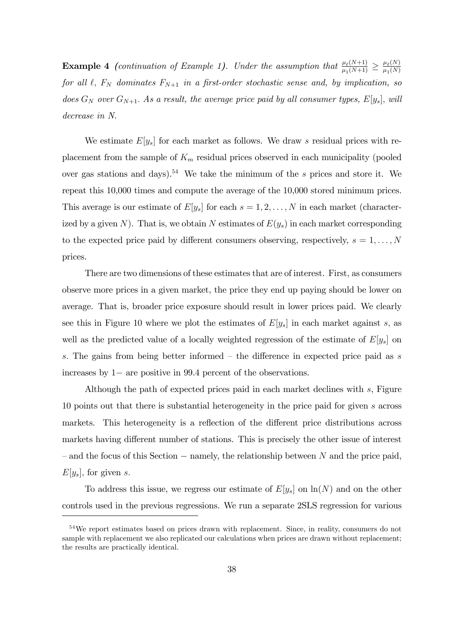**Example 4** (continuation of Example 1). Under the assumption that  $\frac{\mu_{\ell}(N+1)}{\mu_{\ell}(N+1)}$  $\frac{\mu_{\ell}(N+1)}{\mu_1(N+1)} \geq \frac{\mu_{\ell}(N)}{\mu_1(N)}$  $\mu_1(N)$ for all  $\ell$ ,  $F_N$  dominates  $F_{N+1}$  in a first-order stochastic sense and, by implication, so does  $G_N$  over  $G_{N+1}$ . As a result, the average price paid by all consumer types,  $E[y_s]$ , will decrease in N.

We estimate  $E[y_s]$  for each market as follows. We draw s residual prices with replacement from the sample of  $K_m$  residual prices observed in each municipality (pooled over gas stations and days).<sup>54</sup> We take the minimum of the s prices and store it. We repeat this 10,000 times and compute the average of the 10,000 stored minimum prices. This average is our estimate of  $E[y_s]$  for each  $s = 1, 2, ..., N$  in each market (characterized by a given N). That is, we obtain N estimates of  $E(y_s)$  in each market corresponding to the expected price paid by different consumers observing, respectively,  $s = 1, \ldots, N$ prices.

There are two dimensions of these estimates that are of interest. First, as consumers observe more prices in a given market, the price they end up paying should be lower on average. That is, broader price exposure should result in lower prices paid. We clearly see this in Figure 10 where we plot the estimates of  $E[y_s]$  in each market against s, as well as the predicted value of a locally weighted regression of the estimate of  $E[y_s]$  on s. The gains from being better informed  $-$  the difference in expected price paid as s increases by  $1-$  are positive in 99.4 percent of the observations.

Although the path of expected prices paid in each market declines with s, Figure 10 points out that there is substantial heterogeneity in the price paid for given s across markets. This heterogeneity is a reflection of the different price distributions across markets having different number of stations. This is precisely the other issue of interest  $\alpha$  – and the focus of this Section  $\alpha$  – namely, the relationship between N and the price paid,  $E[y_s]$ , for given s.

To address this issue, we regress our estimate of  $E[y_s]$  on  $\ln(N)$  and on the other controls used in the previous regressions. We run a separate 2SLS regression for various

<sup>&</sup>lt;sup>54</sup>We report estimates based on prices drawn with replacement. Since, in reality, consumers do not sample with replacement we also replicated our calculations when prices are drawn without replacement; the results are practically identical.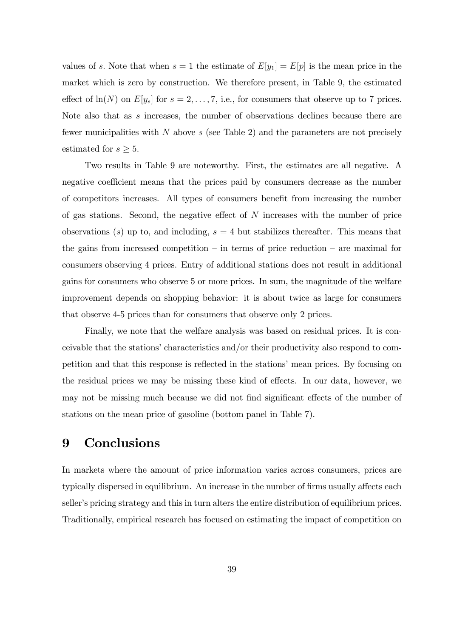values of s. Note that when  $s = 1$  the estimate of  $E[y_1] = E[p]$  is the mean price in the market which is zero by construction. We therefore present, in Table 9, the estimated effect of  $ln(N)$  on  $E[y_s]$  for  $s = 2, \ldots, 7$ , i.e., for consumers that observe up to 7 prices. Note also that as s increases, the number of observations declines because there are fewer municipalities with  $N$  above  $s$  (see Table 2) and the parameters are not precisely estimated for  $s \geq 5$ .

Two results in Table 9 are noteworthy. First, the estimates are all negative. A negative coefficient means that the prices paid by consumers decrease as the number of competitors increases. All types of consumers benefit from increasing the number of gas stations. Second, the negative effect of  $N$  increases with the number of price observations (s) up to, and including,  $s = 4$  but stabilizes thereafter. This means that the gains from increased competition  $-$  in terms of price reduction  $-$  are maximal for consumers observing 4 prices. Entry of additional stations does not result in additional gains for consumers who observe 5 or more prices. In sum, the magnitude of the welfare improvement depends on shopping behavior: it is about twice as large for consumers that observe 4-5 prices than for consumers that observe only 2 prices.

Finally, we note that the welfare analysis was based on residual prices. It is conceivable that the stations' characteristics and/or their productivity also respond to competition and that this response is reflected in the stations' mean prices. By focusing on the residual prices we may be missing these kind of effects. In our data, however, we may not be missing much because we did not find significant effects of the number of stations on the mean price of gasoline (bottom panel in Table 7).

### 9 Conclusions

In markets where the amount of price information varies across consumers, prices are typically dispersed in equilibrium. An increase in the number of firms usually affects each seller's pricing strategy and this in turn alters the entire distribution of equilibrium prices. Traditionally, empirical research has focused on estimating the impact of competition on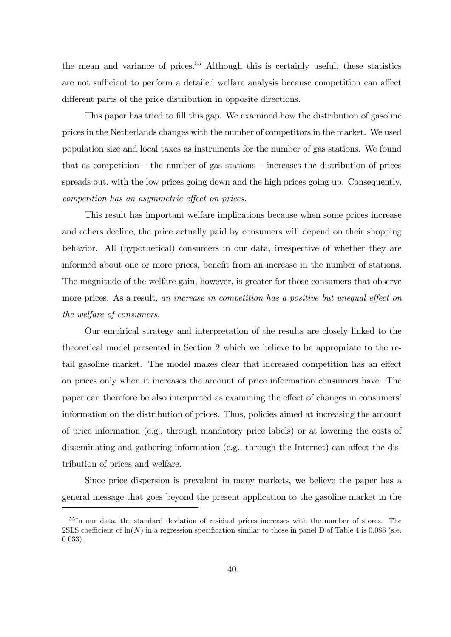the mean and variance of prices.<sup>55</sup> Although this is certainly useful, these statistics are not sufficient to perform a detailed welfare analysis because competition can affect different parts of the price distribution in opposite directions.

This paper has tried to fill this gap. We examined how the distribution of gasoline prices in the Netherlands changes with the number of competitors in the market. We used population size and local taxes as instruments for the number of gas stations. We found that as competition  $-$  the number of gas stations  $-$  increases the distribution of prices spreads out, with the low prices going down and the high prices going up. Consequently, competition has an asymmetric effect on prices.

This result has important welfare implications because when some prices increase and others decline, the price actually paid by consumers will depend on their shopping behavior. All (hypothetical) consumers in our data, irrespective of whether they are informed about one or more prices, benefit from an increase in the number of stations. The magnitude of the welfare gain, however, is greater for those consumers that observe more prices. As a result, an increase in competition has a positive but unequal effect on the welfare of consumers.

Our empirical strategy and interpretation of the results are closely linked to the theoretical model presented in Section 2 which we believe to be appropriate to the retail gasoline market. The model makes clear that increased competition has an effect on prices only when it increases the amount of price information consumers have. The paper can therefore be also interpreted as examining the effect of changes in consumers' information on the distribution of prices. Thus, policies aimed at increasing the amount of price information (e.g., through mandatory price labels) or at lowering the costs of disseminating and gathering information (e.g., through the Internet) can affect the distribution of prices and welfare.

Since price dispersion is prevalent in many markets, we believe the paper has a general message that goes beyond the present application to the gasoline market in the

<sup>&</sup>lt;sup>55</sup>In our data, the standard deviation of residual prices increases with the number of stores. The 2SLS coefficient of  $\ln(N)$  in a regression specification similar to those in panel D of Table 4 is 0.086 (s.e. 0.033).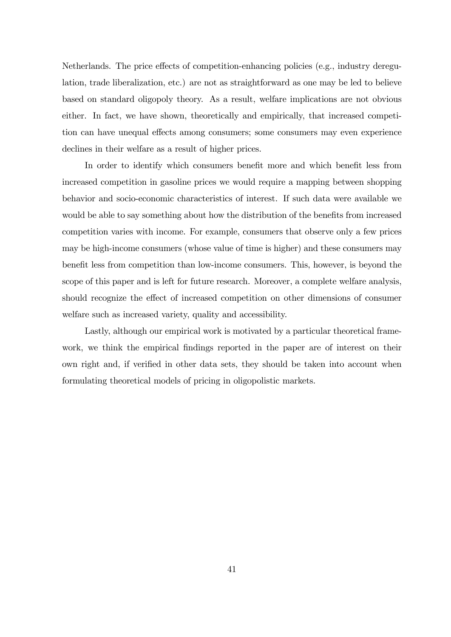Netherlands. The price effects of competition-enhancing policies (e.g., industry deregulation, trade liberalization, etc.) are not as straightforward as one may be led to believe based on standard oligopoly theory. As a result, welfare implications are not obvious either. In fact, we have shown, theoretically and empirically, that increased competition can have unequal effects among consumers; some consumers may even experience declines in their welfare as a result of higher prices.

In order to identify which consumers benefit more and which benefit less from increased competition in gasoline prices we would require a mapping between shopping behavior and socio-economic characteristics of interest. If such data were available we would be able to say something about how the distribution of the benefits from increased competition varies with income. For example, consumers that observe only a few prices may be high-income consumers (whose value of time is higher) and these consumers may benefit less from competition than low-income consumers. This, however, is beyond the scope of this paper and is left for future research. Moreover, a complete welfare analysis, should recognize the effect of increased competition on other dimensions of consumer welfare such as increased variety, quality and accessibility.

Lastly, although our empirical work is motivated by a particular theoretical framework, we think the empirical findings reported in the paper are of interest on their own right and, if verified in other data sets, they should be taken into account when formulating theoretical models of pricing in oligopolistic markets.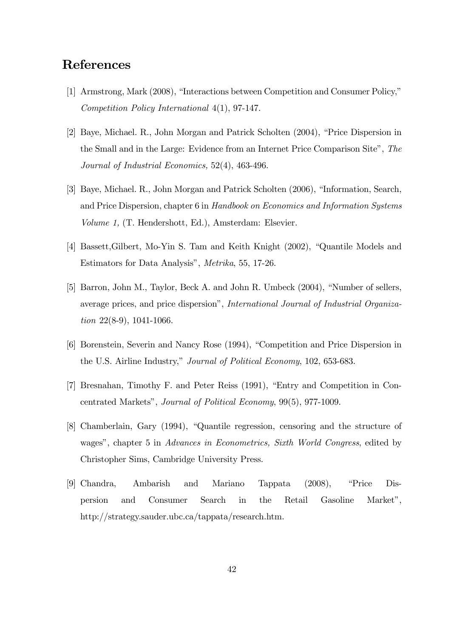# **References**

- [1] Armstrong, Mark (2008), "Interactions between Competition and Consumer Policy," Competition Policy International 4(1), 97-147.
- [2] Baye, Michael. R., John Morgan and Patrick Scholten (2004), "Price Dispersion in the Small and in the Large: Evidence from an Internet Price Comparison Site", The Journal of Industrial Economics, 52(4), 463-496.
- [3] Baye, Michael. R., John Morgan and Patrick Scholten (2006), "Information, Search, and Price Dispersion, chapter 6 in Handbook on Economics and Information Systems Volume 1, (T. Hendershott, Ed.), Amsterdam: Elsevier.
- [4] Bassett, Gilbert, Mo-Yin S. Tam and Keith Knight (2002), "Quantile Models and Estimators for Data Analysis", Metrika, 55, 17-26.
- [5] Barron, John M., Taylor, Beck A. and John R. Umbeck  $(2004)$ , "Number of sellers, average prices, and price dispersion", International Journal of Industrial Organization 22(8-9), 1041-1066.
- [6] Borenstein, Severin and Nancy Rose (1994), "Competition and Price Dispersion in the U.S. Airline Industry," Journal of Political Economy, 102, 653-683.
- [7] Bresnahan, Timothy F. and Peter Reiss (1991), "Entry and Competition in Concentrated Marketsî, Journal of Political Economy, 99(5), 977-1009.
- [8] Chamberlain, Gary (1994), "Quantile regression, censoring and the structure of wages", chapter 5 in Advances in Econometrics, Sixth World Congress, edited by Christopher Sims, Cambridge University Press.
- [9] Chandra, Ambarish and Mariano Tappata (2008), "Price Dispersion and Consumer Search in the Retail Gasoline Marketî, http://strategy.sauder.ubc.ca/tappata/research.htm.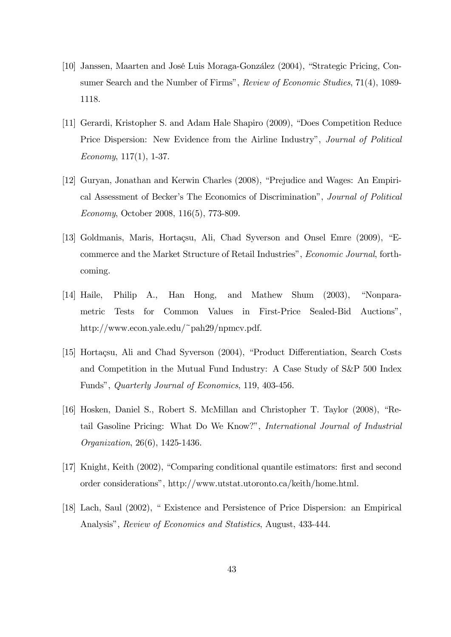- [10] Janssen, Maarten and José Luis Moraga-González (2004), "Strategic Pricing, Consumer Search and the Number of Firms", Review of Economic Studies, 71(4), 1089-1118.
- [11] Gerardi, Kristopher S. and Adam Hale Shapiro (2009), "Does Competition Reduce Price Dispersion: New Evidence from the Airline Industry", *Journal of Political* Economy,  $117(1)$ , 1-37.
- [12] Guryan, Jonathan and Kerwin Charles (2008), "Prejudice and Wages: An Empirical Assessment of Becker's The Economics of Discrimination<sup>n</sup>, Journal of Political Economy, October 2008, 116(5), 773-809.
- [13] Goldmanis, Maris, Hortacsu, Ali, Chad Syverson and Onsel Emre (2009), "Ecommerce and the Market Structure of Retail Industries", *Economic Journal*, forthcoming.
- $[14]$  Haile, Philip A., Han Hong, and Mathew Shum  $(2003)$ , "Nonparametric Tests for Common Values in First-Price Sealed-Bid Auctionsî, http://www.econ.yale.edu/~pah29/npmcv.pdf.
- [15] Hortaçsu, Ali and Chad Syverson (2004), "Product Differentiation, Search Costs and Competition in the Mutual Fund Industry: A Case Study of S&P 500 Index Fundsî, Quarterly Journal of Economics, 119, 403-456.
- [16] Hosken, Daniel S., Robert S. McMillan and Christopher T. Taylor (2008), "Retail Gasoline Pricing: What Do We Know?", International Journal of Industrial Organization, 26(6), 1425-1436.
- [17] Knight, Keith (2002), "Comparing conditional quantile estimators: first and second order considerationsî, http://www.utstat.utoronto.ca/keith/home.html.
- [18] Lach, Saul (2002), "Existence and Persistence of Price Dispersion: an Empirical Analysis", Review of Economics and Statistics, August, 433-444.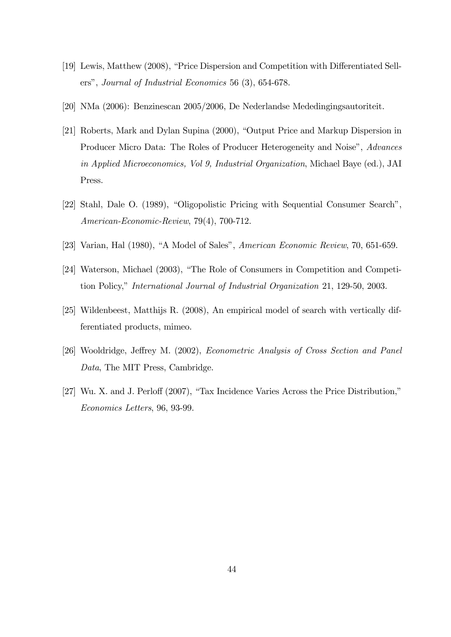- [19] Lewis, Matthew (2008), "Price Dispersion and Competition with Differentiated Sellers", Journal of Industrial Economics 56 (3), 654-678.
- [20] NMa (2006): Benzinescan 2005/2006, De Nederlandse Mededingingsautoriteit.
- [21] Roberts, Mark and Dylan Supina (2000), "Output Price and Markup Dispersion in Producer Micro Data: The Roles of Producer Heterogeneity and Noise", Advances in Applied Microeconomics, Vol 9, Industrial Organization, Michael Baye (ed.), JAI Press.
- [22] Stahl, Dale O. (1989), "Oligopolistic Pricing with Sequential Consumer Search", American-Economic-Review, 79(4), 700-712.
- [23] Varian, Hal  $(1980)$ , "A Model of Sales", American Economic Review, 70, 651-659.
- [24] Waterson, Michael (2003), "The Role of Consumers in Competition and Competition Policy," *International Journal of Industrial Organization* 21, 129-50, 2003.
- [25] Wildenbeest, Matthijs R. (2008), An empirical model of search with vertically differentiated products, mimeo.
- [26] Wooldridge, Jeffrey M. (2002), Econometric Analysis of Cross Section and Panel Data, The MIT Press, Cambridge.
- $[27]$  Wu. X. and J. Perloff  $(2007)$ , "Tax Incidence Varies Across the Price Distribution," Economics Letters, 96, 93-99.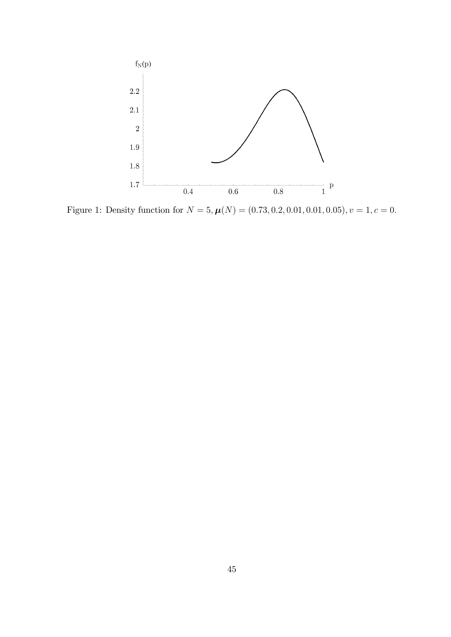

Figure 1: Density function for  $N = 5, \mu(N) = (0.73, 0.2, 0.01, 0.01, 0.05), v = 1, c = 0.$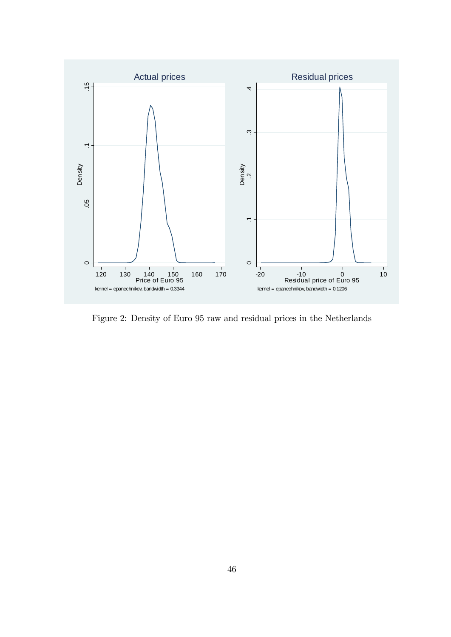

Figure 2: Density of Euro 95 raw and residual prices in the Netherlands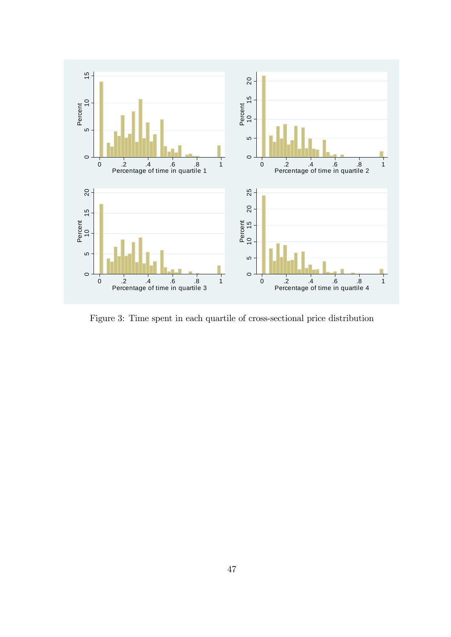

Figure 3: Time spent in each quartile of cross-sectional price distribution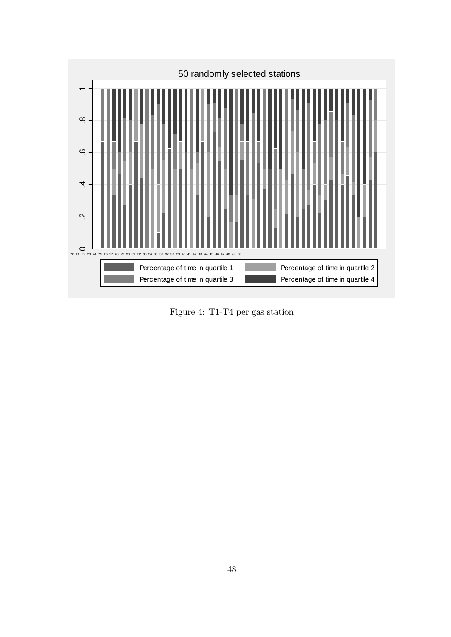

Figure 4: T1-T4 per gas station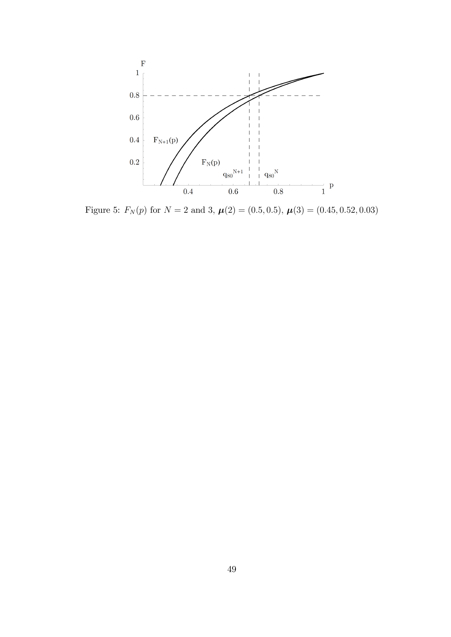

Figure 5:  $F_N(p)$  for  $N = 2$  and 3,  $\mu(2) = (0.5, 0.5), \mu(3) = (0.45, 0.52, 0.03)$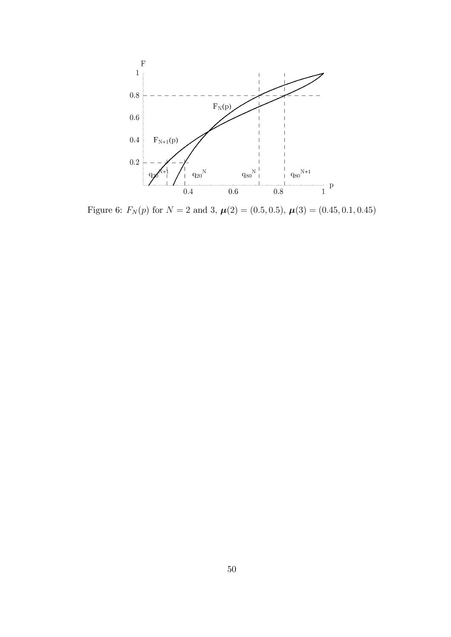

Figure 6:  $F_N(p)$  for  $N = 2$  and 3,  $\mu(2) = (0.5, 0.5), \mu(3) = (0.45, 0.1, 0.45)$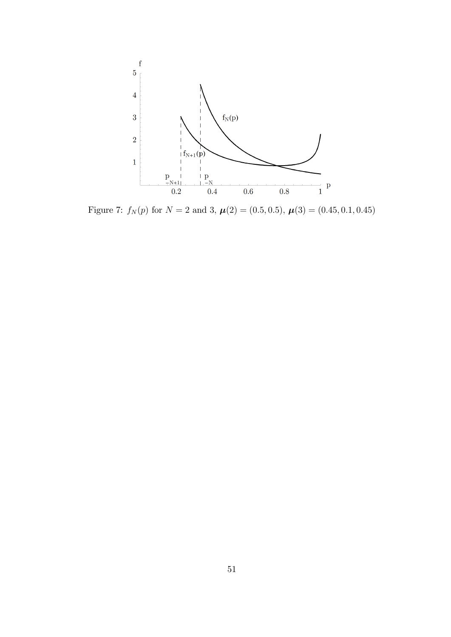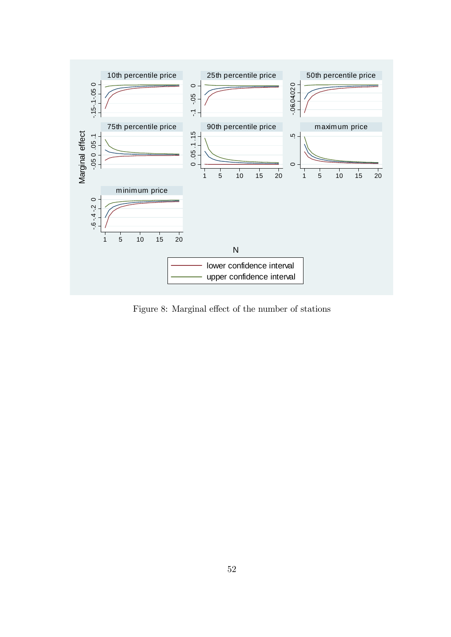

Figure 8: Marginal effect of the number of stations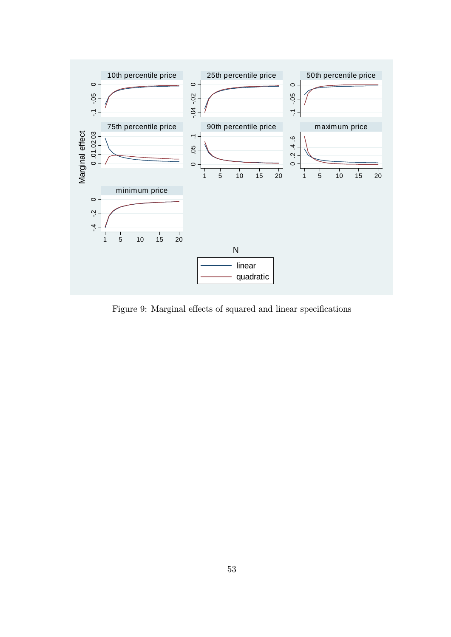

Figure 9: Marginal effects of squared and linear specifications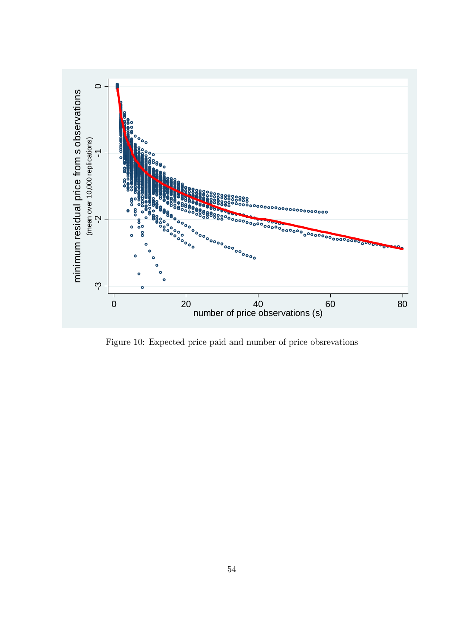

Figure 10: Expected price paid and number of price obsrevations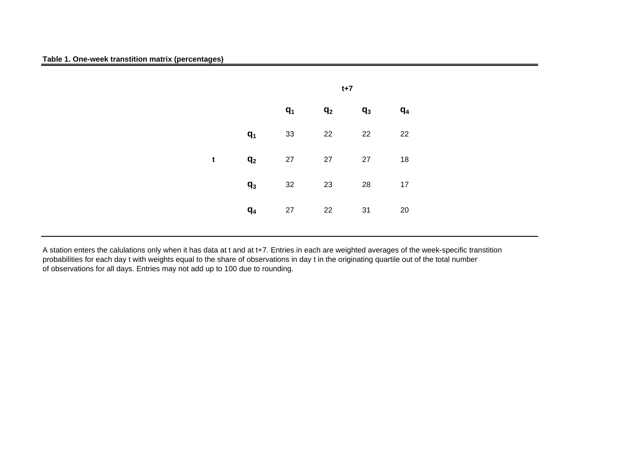

A station enters the calulations only when it has data at t and at t+7. Entries in each are weighted averages of the week-specific transtition probabilities for each day t with weights equal to the share of observations in day t in the originating quartile out of the total number of observations for all days. Entries may not add up to 100 due to rounding.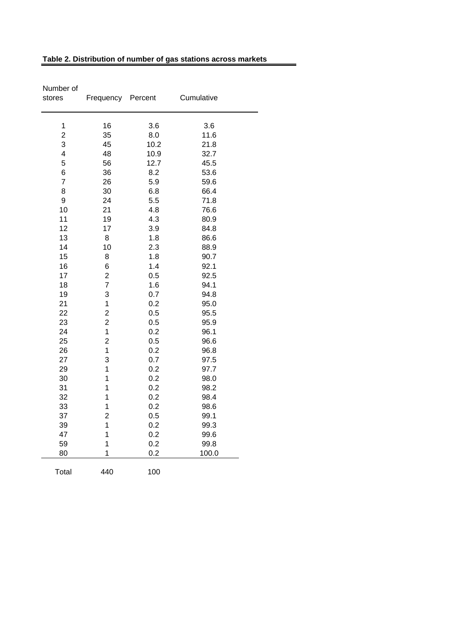| Number of<br>stores      | Frequency Percent       |      | Cumulative |
|--------------------------|-------------------------|------|------------|
| 1                        | 16                      | 3.6  | 3.6        |
| $\overline{2}$           | 35                      | 8.0  | 11.6       |
| 3                        | 45                      | 10.2 | 21.8       |
| $\overline{\mathcal{A}}$ | 48                      | 10.9 | 32.7       |
| 5                        | 56                      | 12.7 | 45.5       |
| 6                        | 36                      | 8.2  | 53.6       |
| $\overline{7}$           | 26                      | 5.9  | 59.6       |
| 8                        | 30                      | 6.8  | 66.4       |
| 9                        | 24                      | 5.5  | 71.8       |
| 10                       | 21                      | 4.8  | 76.6       |
| 11                       | 19                      | 4.3  | 80.9       |
| 12                       | 17                      | 3.9  | 84.8       |
| 13                       | 8                       | 1.8  | 86.6       |
| 14                       | 10                      | 2.3  | 88.9       |
| 15                       | 8                       | 1.8  | 90.7       |
| 16                       | 6                       | 1.4  | 92.1       |
| 17                       | $\overline{\mathbf{c}}$ | 0.5  | 92.5       |
| 18                       | $\overline{7}$          | 1.6  | 94.1       |
| 19                       | 3                       | 0.7  | 94.8       |
| 21                       | $\mathbf 1$             | 0.2  | 95.0       |
| 22                       | $\overline{c}$          | 0.5  | 95.5       |
| 23                       | $\overline{c}$          | 0.5  | 95.9       |
| 24                       | $\mathbf 1$             | 0.2  | 96.1       |
| 25                       | $\overline{c}$          | 0.5  | 96.6       |
| 26                       | 1                       | 0.2  | 96.8       |
| 27                       | 3                       | 0.7  | 97.5       |
| 29                       | 1                       | 0.2  | 97.7       |
| 30                       | 1                       | 0.2  | 98.0       |
| 31                       | 1                       | 0.2  | 98.2       |
| 32                       | 1                       | 0.2  | 98.4       |
| 33                       | 1                       | 0.2  | 98.6       |
| 37                       | $\overline{2}$          | 0.5  | 99.1       |
| 39                       | 1                       | 0.2  | 99.3       |
| 47                       | 1                       | 0.2  | 99.6       |
| 59                       | 1                       | 0.2  | 99.8       |
| 80                       | 1                       | 0.2  | 100.0      |
| Total                    | 440                     | 100  |            |

#### **Table 2. Distribution of number of gas stations across markets**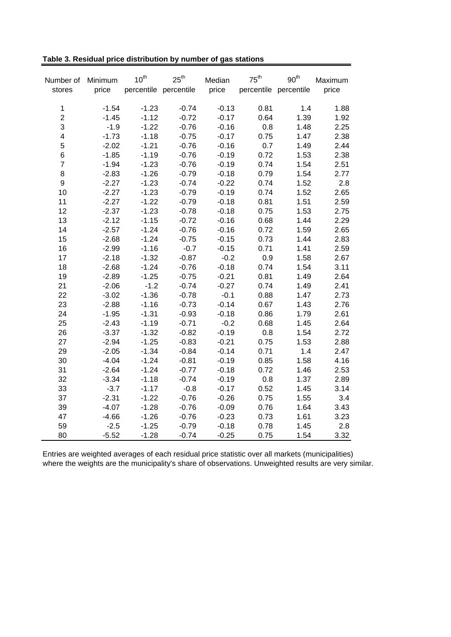| Number of               | Minimum | $10^{th}$ | $25^{\text{th}}$      | Median  | $75^{\text{th}}$ | 90 <sup>th</sup>      | Maximum |
|-------------------------|---------|-----------|-----------------------|---------|------------------|-----------------------|---------|
| stores                  | price   |           | percentile percentile | price   |                  | percentile percentile | price   |
|                         |         |           |                       |         |                  |                       |         |
| $\mathbf{1}$            | $-1.54$ | $-1.23$   | $-0.74$               | $-0.13$ | 0.81             | 1.4                   | 1.88    |
| $\overline{2}$          | $-1.45$ | $-1.12$   | $-0.72$               | $-0.17$ | 0.64             | 1.39                  | 1.92    |
| 3                       | $-1.9$  | $-1.22$   | $-0.76$               | $-0.16$ | 0.8              | 1.48                  | 2.25    |
| $\overline{\mathbf{4}}$ | $-1.73$ | $-1.18$   | $-0.75$               | $-0.17$ | 0.75             | 1.47                  | 2.38    |
| 5                       | $-2.02$ | $-1.21$   | $-0.76$               | $-0.16$ | 0.7              | 1.49                  | 2.44    |
| $\,6$                   | $-1.85$ | $-1.19$   | $-0.76$               | $-0.19$ | 0.72             | 1.53                  | 2.38    |
| $\overline{7}$          | $-1.94$ | $-1.23$   | $-0.76$               | $-0.19$ | 0.74             | 1.54                  | 2.51    |
| 8                       | $-2.83$ | $-1.26$   | $-0.79$               | $-0.18$ | 0.79             | 1.54                  | 2.77    |
| $\mathsf g$             | $-2.27$ | $-1.23$   | $-0.74$               | $-0.22$ | 0.74             | 1.52                  | 2.8     |
| 10                      | $-2.27$ | $-1.23$   | $-0.79$               | $-0.19$ | 0.74             | 1.52                  | 2.65    |
| 11                      | $-2.27$ | $-1.22$   | $-0.79$               | $-0.18$ | 0.81             | 1.51                  | 2.59    |
| 12                      | $-2.37$ | $-1.23$   | $-0.78$               | $-0.18$ | 0.75             | 1.53                  | 2.75    |
| 13                      | $-2.12$ | $-1.15$   | $-0.72$               | $-0.16$ | 0.68             | 1.44                  | 2.29    |
| 14                      | $-2.57$ | $-1.24$   | $-0.76$               | $-0.16$ | 0.72             | 1.59                  | 2.65    |
| 15                      | $-2.68$ | $-1.24$   | $-0.75$               | $-0.15$ | 0.73             | 1.44                  | 2.83    |
| 16                      | $-2.99$ | $-1.16$   | $-0.7$                | $-0.15$ | 0.71             | 1.41                  | 2.59    |
| 17                      | $-2.18$ | $-1.32$   | $-0.87$               | $-0.2$  | 0.9              | 1.58                  | 2.67    |
| 18                      | $-2.68$ | $-1.24$   | $-0.76$               | $-0.18$ | 0.74             | 1.54                  | 3.11    |
| 19                      | $-2.89$ | $-1.25$   | $-0.75$               | $-0.21$ | 0.81             | 1.49                  | 2.64    |
| 21                      | $-2.06$ | $-1.2$    | $-0.74$               | $-0.27$ | 0.74             | 1.49                  | 2.41    |
| 22                      | $-3.02$ | $-1.36$   | $-0.78$               | $-0.1$  | 0.88             | 1.47                  | 2.73    |
| 23                      | $-2.88$ | $-1.16$   | $-0.73$               | $-0.14$ | 0.67             | 1.43                  | 2.76    |
| 24                      | $-1.95$ | $-1.31$   | $-0.93$               | $-0.18$ | 0.86             | 1.79                  | 2.61    |
| 25                      | $-2.43$ | $-1.19$   | $-0.71$               | $-0.2$  | 0.68             | 1.45                  | 2.64    |
| 26                      | $-3.37$ | $-1.32$   | $-0.82$               | $-0.19$ | 0.8              | 1.54                  | 2.72    |
| 27                      | $-2.94$ | $-1.25$   | $-0.83$               | $-0.21$ | 0.75             | 1.53                  | 2.88    |
| 29                      | $-2.05$ | $-1.34$   | $-0.84$               | $-0.14$ | 0.71             | 1.4                   | 2.47    |
| 30                      | $-4.04$ | $-1.24$   | $-0.81$               | $-0.19$ | 0.85             | 1.58                  | 4.16    |
| 31                      | $-2.64$ | $-1.24$   | $-0.77$               | $-0.18$ | 0.72             | 1.46                  | 2.53    |
| 32                      | $-3.34$ | $-1.18$   | $-0.74$               | $-0.19$ | $0.8\,$          | 1.37                  | 2.89    |
| 33                      | $-3.7$  | $-1.17$   | $-0.8$                | $-0.17$ | 0.52             | 1.45                  | 3.14    |
| 37                      | $-2.31$ | $-1.22$   | $-0.76$               | $-0.26$ | 0.75             | 1.55                  | 3.4     |
| 39                      | $-4.07$ | $-1.28$   | $-0.76$               | $-0.09$ | 0.76             | 1.64                  | 3.43    |
| 47                      | $-4.66$ | $-1.26$   | $-0.76$               | $-0.23$ | 0.73             | 1.61                  | 3.23    |
| 59                      | $-2.5$  | $-1.25$   | $-0.79$               | $-0.18$ | 0.78             | 1.45                  | 2.8     |
| 80                      | $-5.52$ | $-1.28$   | $-0.74$               | $-0.25$ | 0.75             | 1.54                  | 3.32    |

Entries are weighted averages of each residual price statistic over all markets (municipalities) where the weights are the municipality's share of observations. Unweighted results are very similar.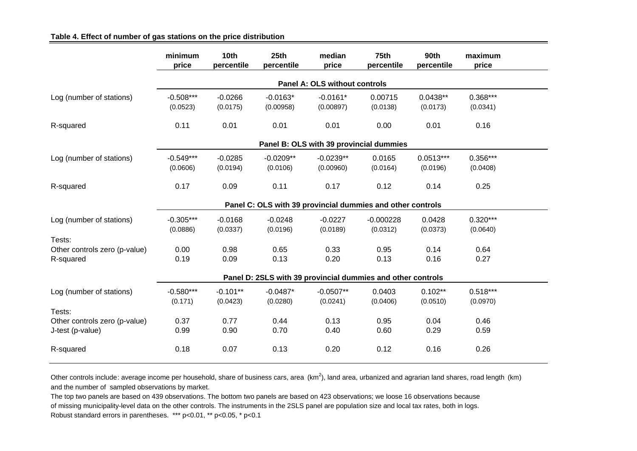|                                                      | minimum<br>price        | 10th<br>percentile     | 25 <sub>th</sub><br>percentile | median<br>price               | 75th<br>percentile                                          | <b>90th</b><br>percentile | maximum<br>price       |  |
|------------------------------------------------------|-------------------------|------------------------|--------------------------------|-------------------------------|-------------------------------------------------------------|---------------------------|------------------------|--|
|                                                      |                         |                        |                                | Panel A: OLS without controls |                                                             |                           |                        |  |
| Log (number of stations)                             | $-0.508***$<br>(0.0523) | $-0.0266$<br>(0.0175)  | $-0.0163*$<br>(0.00958)        | $-0.0161*$<br>(0.00897)       | 0.00715<br>(0.0138)                                         | $0.0438**$<br>(0.0173)    | $0.368***$<br>(0.0341) |  |
| R-squared                                            | 0.11                    | 0.01                   | 0.01                           | 0.01                          | 0.00                                                        | 0.01                      | 0.16                   |  |
|                                                      |                         |                        |                                |                               | Panel B: OLS with 39 provincial dummies                     |                           |                        |  |
| Log (number of stations)                             | $-0.549***$<br>(0.0606) | $-0.0285$<br>(0.0194)  | $-0.0209**$<br>(0.0106)        | $-0.0239**$<br>(0.00960)      | 0.0165<br>(0.0164)                                          | $0.0513***$<br>(0.0196)   | $0.356***$<br>(0.0408) |  |
| R-squared                                            | 0.17                    | 0.09                   | 0.11                           | 0.17                          | 0.12                                                        | 0.14                      | 0.25                   |  |
|                                                      |                         |                        |                                |                               | Panel C: OLS with 39 provincial dummies and other controls  |                           |                        |  |
| Log (number of stations)                             | $-0.305***$<br>(0.0886) | $-0.0168$<br>(0.0337)  | $-0.0248$<br>(0.0196)          | $-0.0227$<br>(0.0189)         | $-0.000228$<br>(0.0312)                                     | 0.0428<br>(0.0373)        | $0.320***$<br>(0.0640) |  |
| Tests:<br>Other controls zero (p-value)<br>R-squared | 0.00<br>0.19            | 0.98<br>0.09           | 0.65<br>0.13                   | 0.33<br>0.20                  | 0.95<br>0.13                                                | 0.14<br>0.16              | 0.64<br>0.27           |  |
|                                                      |                         |                        |                                |                               | Panel D: 2SLS with 39 provincial dummies and other controls |                           |                        |  |
| Log (number of stations)                             | $-0.580***$<br>(0.171)  | $-0.101**$<br>(0.0423) | $-0.0487*$<br>(0.0280)         | $-0.0507**$<br>(0.0241)       | 0.0403<br>(0.0406)                                          | $0.102**$<br>(0.0510)     | $0.518***$<br>(0.0970) |  |
| Tests:                                               | 0.37                    |                        |                                | 0.13                          |                                                             |                           |                        |  |
| Other controls zero (p-value)<br>J-test (p-value)    | 0.99                    | 0.77<br>0.90           | 0.44<br>0.70                   | 0.40                          | 0.95<br>0.60                                                | 0.04<br>0.29              | 0.46<br>0.59           |  |
| R-squared                                            | 0.18                    | 0.07                   | 0.13                           | 0.20                          | 0.12                                                        | 0.16                      | 0.26                   |  |

**Table 4. Effect of number of gas stations on the price distribution**

Other controls include: average income per household, share of business cars, area  $(km^2)$ , land area, urbanized and agrarian land shares, road length  $(km)$ and the number of sampled observations by market.

The top two panels are based on 439 observations. The bottom two panels are based on 423 observations; we loose 16 observations because of missing municipality-level data on the other controls. The instruments in the 2SLS panel are population size and local tax rates, both in logs. Robust standard errors in parentheses. \*\*\* p<0.01, \*\* p<0.05, \* p<0.1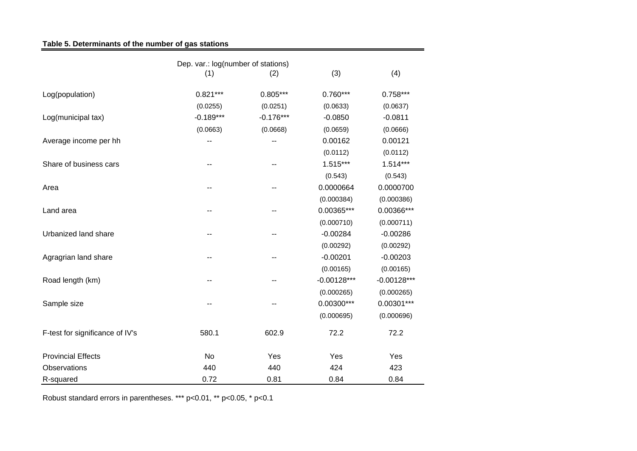# **Table 5. Determinants of the number of gas stations**

|                                 | (1)         | (2)         | (3)           | (4)           |
|---------------------------------|-------------|-------------|---------------|---------------|
| Log(population)                 | $0.821***$  | $0.805***$  | $0.760***$    | $0.758***$    |
|                                 | (0.0255)    | (0.0251)    | (0.0633)      | (0.0637)      |
| Log(municipal tax)              | $-0.189***$ | $-0.176***$ | $-0.0850$     | $-0.0811$     |
|                                 | (0.0663)    | (0.0668)    | (0.0659)      | (0.0666)      |
| Average income per hh           |             |             | 0.00162       | 0.00121       |
|                                 |             |             | (0.0112)      | (0.0112)      |
| Share of business cars          |             | --          | $1.515***$    | $1.514***$    |
|                                 |             |             | (0.543)       | (0.543)       |
| Area                            |             |             | 0.0000664     | 0.0000700     |
|                                 |             |             | (0.000384)    | (0.000386)    |
| Land area                       |             |             | 0.00365***    | 0.00366***    |
|                                 |             |             | (0.000710)    | (0.000711)    |
| Urbanized land share            | --          | --          | $-0.00284$    | $-0.00286$    |
|                                 |             |             | (0.00292)     | (0.00292)     |
| Agragrian land share            |             |             | $-0.00201$    | $-0.00203$    |
|                                 |             |             | (0.00165)     | (0.00165)     |
| Road length (km)                |             |             | $-0.00128***$ | $-0.00128***$ |
|                                 |             |             | (0.000265)    | (0.000265)    |
|                                 |             |             | $0.00300***$  | $0.00301***$  |
| Sample size                     |             | --          |               |               |
|                                 |             |             | (0.000695)    | (0.000696)    |
| F-test for significance of IV's | 580.1       | 602.9       | 72.2          | 72.2          |
| <b>Provincial Effects</b>       | No          | Yes         | Yes           | Yes           |
| Observations                    | 440         | 440         | 424           | 423           |
| R-squared                       | 0.72        | 0.81        | 0.84          | 0.84          |

Robust standard errors in parentheses. \*\*\* p<0.01, \*\* p<0.05, \* p<0.1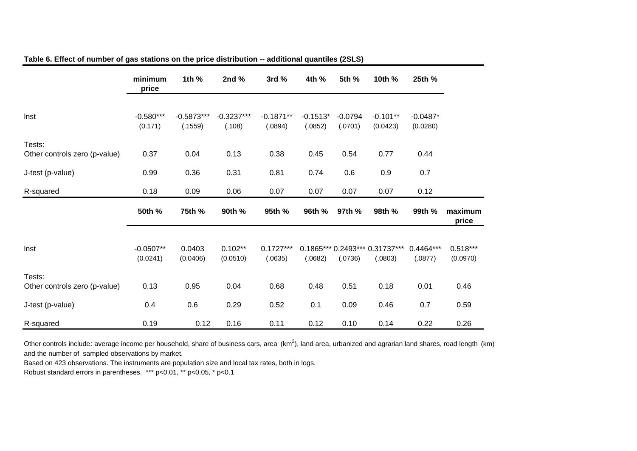|                                         | minimum<br>price        | 1th %                   | 2nd $%$                | 3rd%                   | 4th %                 | 5th %                | 10th %                                    | 25th %                 |                        |
|-----------------------------------------|-------------------------|-------------------------|------------------------|------------------------|-----------------------|----------------------|-------------------------------------------|------------------------|------------------------|
| Inst                                    | $-0.580***$<br>(0.171)  | $-0.5873***$<br>(.1559) | $-0.3237***$<br>(.108) | $-0.1871**$<br>(.0894) | $-0.1513*$<br>(.0852) | $-0.0794$<br>(.0701) | $-0.101**$<br>(0.0423)                    | $-0.0487*$<br>(0.0280) |                        |
| Tests:<br>Other controls zero (p-value) | 0.37                    | 0.04                    | 0.13                   | 0.38                   | 0.45                  | 0.54                 | 0.77                                      | 0.44                   |                        |
| J-test (p-value)                        | 0.99                    | 0.36                    | 0.31                   | 0.81                   | 0.74                  | 0.6                  | 0.9                                       | 0.7                    |                        |
| R-squared                               | 0.18                    | 0.09                    | 0.06                   | 0.07                   | 0.07                  | 0.07                 | 0.07                                      | 0.12                   |                        |
|                                         | 50th %                  | 75th %                  | 90th %                 | 95th %                 | 96th %                | 97th %               | 98th %                                    | 99th %                 | maximum<br>price       |
| Inst                                    | $-0.0507**$<br>(0.0241) | 0.0403<br>(0.0406)      | $0.102**$<br>(0.0510)  | $0.1727***$<br>(.0635) | (.0682)               | (.0736)              | 0.1865*** 0.2493*** 0.31737***<br>(.0803) | 0.4464***<br>(.0877)   | $0.518***$<br>(0.0970) |
| Tests:<br>Other controls zero (p-value) | 0.13                    | 0.95                    | 0.04                   | 0.68                   | 0.48                  | 0.51                 | 0.18                                      | 0.01                   | 0.46                   |
|                                         |                         |                         |                        |                        |                       |                      |                                           |                        |                        |
| J-test (p-value)                        | 0.4                     | 0.6                     | 0.29                   | 0.52                   | 0.1                   | 0.09                 | 0.46                                      | 0.7                    | 0.59                   |

#### **Table 6. Effect of number of gas stations on the price distribution -- additional quantiles (2SLS)**

Other controls include: average income per household, share of business cars, area  $(km^2)$ , land area, urbanized and agrarian land shares, road length  $(km)$ and the number of sampled observations by market.

Based on 423 observations. The instruments are population size and local tax rates, both in logs.

Robust standard errors in parentheses. \*\*\* p<0.01, \*\* p<0.05, \* p<0.1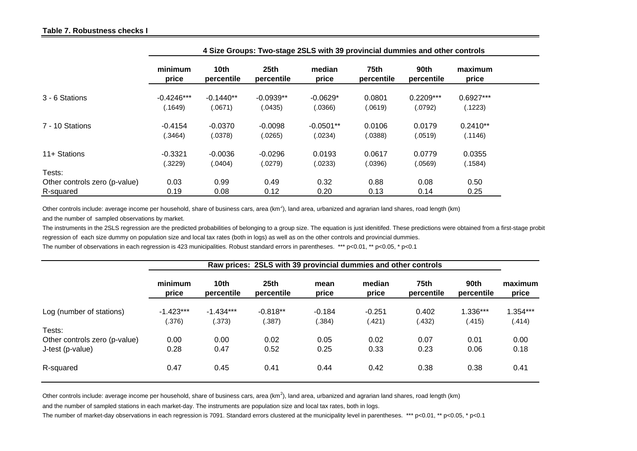|                               |                         | 4 Size Groups: Two-stage 2SLS with 39 provincial dummies and other controls |                                |                        |                           |                        |                        |  |  |  |  |
|-------------------------------|-------------------------|-----------------------------------------------------------------------------|--------------------------------|------------------------|---------------------------|------------------------|------------------------|--|--|--|--|
|                               | minimum<br>price        | 10th<br>percentile                                                          | 25 <sub>th</sub><br>percentile | median<br>price        | <b>75th</b><br>percentile | 90th<br>percentile     | maximum<br>price       |  |  |  |  |
| 3 - 6 Stations                | $-0.4246***$<br>(.1649) | $-0.1440**$<br>(.0671)                                                      | $-0.0939**$<br>(.0435)         | $-0.0629*$<br>(.0366)  | 0.0801<br>(.0619)         | $0.2209***$<br>(.0792) | $0.6927***$<br>(.1223) |  |  |  |  |
| 7 - 10 Stations               | $-0.4154$<br>(.3464)    | $-0.0370$<br>(.0378)                                                        | $-0.0098$<br>(.0265)           | $-0.0501**$<br>(.0234) | 0.0106<br>(.0388)         | 0.0179<br>(.0519)      | $0.2410**$<br>(.1146)  |  |  |  |  |
| 11+ Stations                  | $-0.3321$<br>(.3229)    | $-0.0036$<br>(.0404)                                                        | $-0.0296$<br>(.0279)           | 0.0193<br>(.0233)      | 0.0617<br>(.0396)         | 0.0779<br>(.0569)      | 0.0355<br>(.1584)      |  |  |  |  |
| Tests:                        |                         |                                                                             |                                |                        |                           |                        |                        |  |  |  |  |
| Other controls zero (p-value) | 0.03                    | 0.99                                                                        | 0.49                           | 0.32                   | 0.88                      | 0.08                   | 0.50                   |  |  |  |  |
| R-squared                     | 0.19                    | 0.08                                                                        | 0.12                           | 0.20                   | 0.13                      | 0.14                   | 0.25                   |  |  |  |  |

Other controls include: average income per household, share of business cars, area ( $km^2$ ), land area, urbanized and agrarian land shares, road length ( $km$ ) and the number of sampled observations by market.

The instruments in the 2SLS regression are the predicted probabilities of belonging to a group size. The equation is just idenitifed. These predictions were obtained from a first-stage probit regression of each size dummy on population size and local tax rates (both in logs) as well as on the other controls and provincial dummies.

The number of observations in each regression is 423 municipalities. Robust standard errors in parentheses. \*\*\* p<0.01, \*\* p<0.05, \* p<0.1

|                               | Raw prices: 2SLS with 39 provincial dummies and other controls |                                |                                |                    |                    |                    |                    |                    |  |
|-------------------------------|----------------------------------------------------------------|--------------------------------|--------------------------------|--------------------|--------------------|--------------------|--------------------|--------------------|--|
|                               | minimum<br>price                                               | 10 <sub>th</sub><br>percentile | 25 <sub>th</sub><br>percentile | mean<br>price      | median<br>price    | 75th<br>percentile | 90th<br>percentile | maximum<br>price   |  |
| Log (number of stations)      | $-1.423***$<br>(.376)                                          | $-1.434***$<br>(.373)          | $-0.818**$<br>(.387)           | $-0.184$<br>(.384) | $-0.251$<br>(.421) | 0.402<br>(.432)    | 1.336***<br>(.415) | 1.354***<br>(.414) |  |
| Tests:                        |                                                                |                                |                                |                    |                    |                    |                    |                    |  |
| Other controls zero (p-value) | 0.00                                                           | 0.00                           | 0.02                           | 0.05               | 0.02               | 0.07               | 0.01               | 0.00               |  |
| J-test (p-value)              | 0.28                                                           | 0.47                           | 0.52                           | 0.25               | 0.33               | 0.23               | 0.06               | 0.18               |  |
| R-squared                     | 0.47                                                           | 0.45                           | 0.41                           | 0.44               | 0.42               | 0.38               | 0.38               | 0.41               |  |

Other controls include: average income per household, share of business cars, area (km<sup>2</sup>), land area, urbanized and agrarian land shares, road length (km)

and the number of sampled stations in each market-day. The instruments are population size and local tax rates, both in logs.

The number of market-day observations in each regression is 7091. Standard errors clustered at the municipality level in parentheses. \*\*\* p<0.01, \*\* p<0.05, \* p<0.1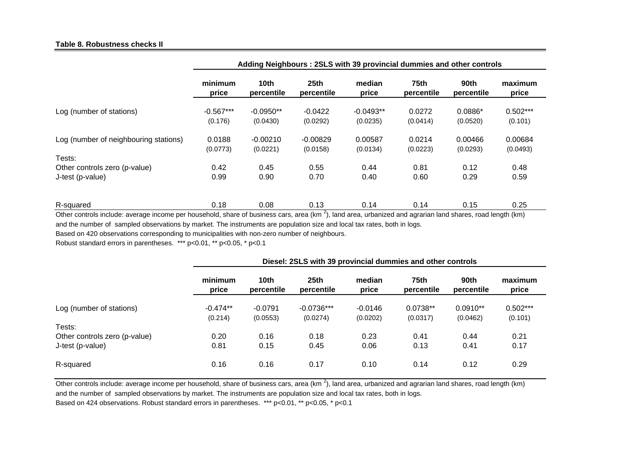#### **Table 8. Robustness checks II**

|                                       | Adding Neighbours: 2SLS with 39 provincial dummies and other controls |                                |                                |                         |                           |                       |                       |  |  |  |
|---------------------------------------|-----------------------------------------------------------------------|--------------------------------|--------------------------------|-------------------------|---------------------------|-----------------------|-----------------------|--|--|--|
|                                       | minimum<br>price                                                      | 10 <sub>th</sub><br>percentile | 25 <sub>th</sub><br>percentile | median<br>price         | <b>75th</b><br>percentile | 90th<br>percentile    | maximum<br>price      |  |  |  |
| Log (number of stations)              | $-0.567***$<br>(0.176)                                                | $-0.0950**$<br>(0.0430)        | $-0.0422$<br>(0.0292)          | $-0.0493**$<br>(0.0235) | 0.0272<br>(0.0414)        | $0.0886*$<br>(0.0520) | $0.502***$<br>(0.101) |  |  |  |
| Log (number of neighbouring stations) | 0.0188<br>(0.0773)                                                    | $-0.00210$<br>(0.0221)         | $-0.00829$<br>(0.0158)         | 0.00587<br>(0.0134)     | 0.0214<br>(0.0223)        | 0.00466<br>(0.0293)   | 0.00684<br>(0.0493)   |  |  |  |
| Tests:                                |                                                                       |                                |                                |                         |                           |                       |                       |  |  |  |
| Other controls zero (p-value)         | 0.42                                                                  | 0.45                           | 0.55                           | 0.44                    | 0.81                      | 0.12                  | 0.48                  |  |  |  |
| J-test (p-value)                      | 0.99                                                                  | 0.90                           | 0.70                           | 0.40                    | 0.60                      | 0.29                  | 0.59                  |  |  |  |
| R-squared                             | 0.18                                                                  | 0.08                           | 0.13<br>$\sim$                 | 0.14                    | 0.14                      | 0.15                  | 0.25                  |  |  |  |

Other controls include: average income per household, share of business cars, area  $(km^2)$ , land area, urbanized and agrarian land shares, road length (km) and the number of sampled observations by market. The instruments are population size and local tax rates, both in logs.

Based on 420 observations corresponding to municipalities with non-zero number of neighbours.

Robust standard errors in parentheses. \*\*\* p<0.01, \*\* p<0.05, \* p<0.1

|                               | Diesel: 2SLS with 39 provincial dummies and other controls |                       |                                |                       |                        |                        |                       |  |  |  |
|-------------------------------|------------------------------------------------------------|-----------------------|--------------------------------|-----------------------|------------------------|------------------------|-----------------------|--|--|--|
|                               | minimum<br>price                                           | 10th<br>percentile    | 25 <sub>th</sub><br>percentile | median<br>price       | 75th<br>percentile     | 90th<br>percentile     | maximum<br>price      |  |  |  |
| Log (number of stations)      | $-0.474**$<br>(0.214)                                      | $-0.0791$<br>(0.0553) | $-0.0736***$<br>(0.0274)       | $-0.0146$<br>(0.0202) | $0.0738**$<br>(0.0317) | $0.0910**$<br>(0.0462) | $0.502***$<br>(0.101) |  |  |  |
| Tests:                        |                                                            |                       |                                |                       |                        |                        |                       |  |  |  |
| Other controls zero (p-value) | 0.20                                                       | 0.16                  | 0.18                           | 0.23                  | 0.41                   | 0.44                   | 0.21                  |  |  |  |
| J-test (p-value)              | 0.81                                                       | 0.15                  | 0.45                           | 0.06                  | 0.13                   | 0.41                   | 0.17                  |  |  |  |
| R-squared                     | 0.16                                                       | 0.16                  | 0.17                           | 0.10                  | 0.14                   | 0.12                   | 0.29                  |  |  |  |

Other controls include: average income per household, share of business cars, area (km<sup>2</sup>), land area, urbanized and agrarian land shares, road length (km) and the number of sampled observations by market. The instruments are population size and local tax rates, both in logs.

Based on 424 observations. Robust standard errors in parentheses. \*\*\* p<0.01, \*\* p<0.05, \* p<0.1